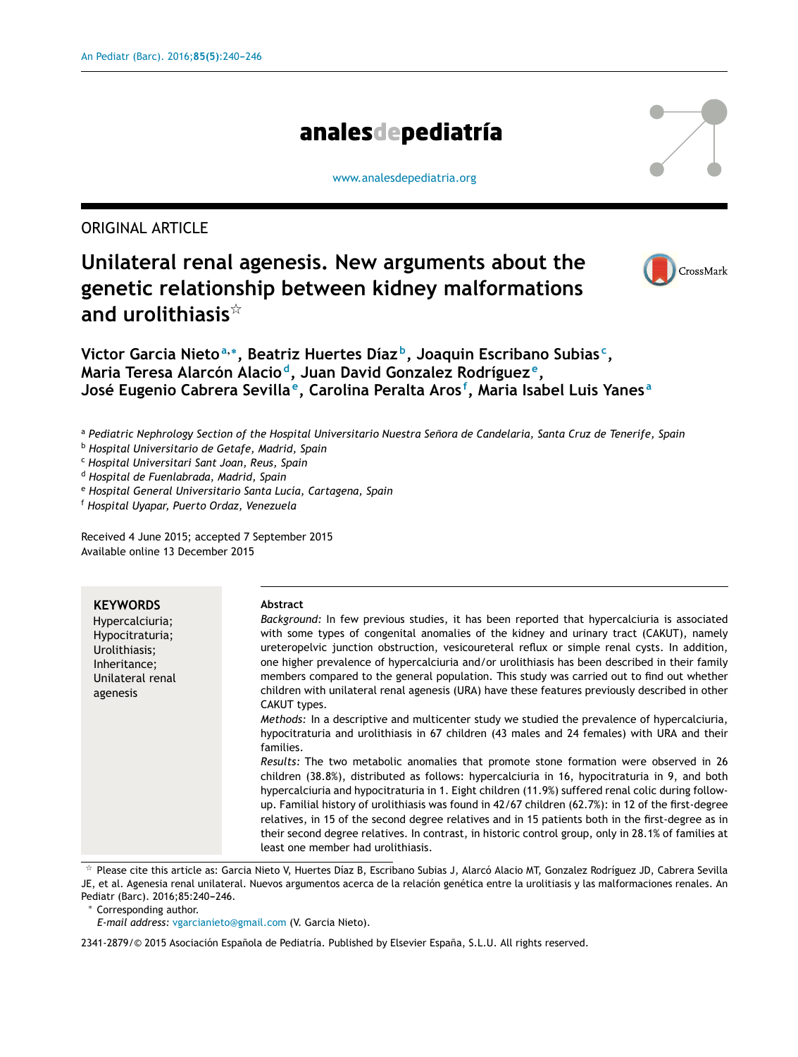# analesdepediatría

[www.analesdepediatria.org](http://www.analesdepediatria.org)

ORIGINAL ARTICLE

## **Unilateral renal agenesis. New arguments about the genetic relationship between kidney malformations and urolithiasis**-



**Victor Garcia Nieto<sup>a</sup>**,<sup>∗</sup> **, Beatriz Huertes Díaz <sup>b</sup> , Joaquin Escribano Subias <sup>c</sup> , Maria Teresa Alarcón Alacio <sup>d</sup> , Juan David Gonzalez Rodríguez <sup>e</sup> , José Eugenio Cabrera Sevilla <sup>e</sup> , Carolina Peralta Aros <sup>f</sup> , Maria Isabel Luis Yanes <sup>a</sup>**

a Pediatric Nephrology Section of the Hospital Universitario Nuestra Señora de Candelaria, Santa Cruz de Tenerife, Spain

<sup>b</sup> *Hospital Universitario de Getafe, Madrid, Spain*

<sup>c</sup> *Hospital Universitari Sant Joan, Reus, Spain*

<sup>d</sup> *Hospital de Fuenlabrada, Madrid, Spain*

<sup>e</sup> *Hospital General Universitario Santa Lucía, Cartagena, Spain*

<sup>f</sup> *Hospital Uyapar, Puerto Ordaz, Venezuela*

Received 4 June 2015; accepted 7 September 2015 Available online 13 December 2015

| <b>KEYWORDS</b><br>Hypercalciuria;<br>Hypocitraturia;<br>Urolithiasis;<br>Inheritance;<br>Unilateral renal<br>agenesis | <b>Abstract</b><br>Background: In few previous studies, it has been reported that hypercalciuria is associated<br>with some types of congenital anomalies of the kidney and urinary tract (CAKUT), namely<br>ureteropelvic junction obstruction, vesicoureteral reflux or simple renal cysts. In addition,<br>one higher prevalence of hypercalciuria and/or urolithiasis has been described in their family<br>members compared to the general population. This study was carried out to find out whether<br>children with unilateral renal agenesis (URA) have these features previously described in other<br>CAKUT types.<br>Methods: In a descriptive and multicenter study we studied the prevalence of hypercalciuria,<br>hypocitraturia and urolithiasis in 67 children (43 males and 24 females) with URA and their<br>families.<br>Results: The two metabolic anomalies that promote stone formation were observed in 26 |
|------------------------------------------------------------------------------------------------------------------------|------------------------------------------------------------------------------------------------------------------------------------------------------------------------------------------------------------------------------------------------------------------------------------------------------------------------------------------------------------------------------------------------------------------------------------------------------------------------------------------------------------------------------------------------------------------------------------------------------------------------------------------------------------------------------------------------------------------------------------------------------------------------------------------------------------------------------------------------------------------------------------------------------------------------------------|
|                                                                                                                        | children (38.8%), distributed as follows: hypercalciuria in 16, hypocitraturia in 9, and both<br>hypercalciuria and hypocitraturia in 1. Eight children (11.9%) suffered renal colic during follow-<br>up. Familial history of urolithiasis was found in 42/67 children (62.7%): in 12 of the first-degree<br>relatives, in 15 of the second degree relatives and in 15 patients both in the first-degree as in<br>their second degree relatives. In contrast, in historic control group, only in 28.1% of families at<br>least one member had urolithiasis.                                                                                                                                                                                                                                                                                                                                                                       |

 $^\star$  Please cite this article as: Garcia Nieto V, Huertes Díaz B, Escribano Subias J, Alarcó Alacio MT, Gonzalez Rodríguez JD, Cabrera Sevilla JE, et al. Agenesia renal unilateral. Nuevos argumentos acerca de la relación genética entre la urolitiasis y las malformaciones renales. An Pediatr (Barc). 2016;85:240-246.

<sup>∗</sup> Corresponding author.

*E-mail address:* [vgarcianieto@gmail.com](mailto:vgarcianieto@gmail.com) (V. Garcia Nieto).

2341-2879/© 2015 Asociación Española de Pediatría. Published by Elsevier España, S.L.U. All rights reserved.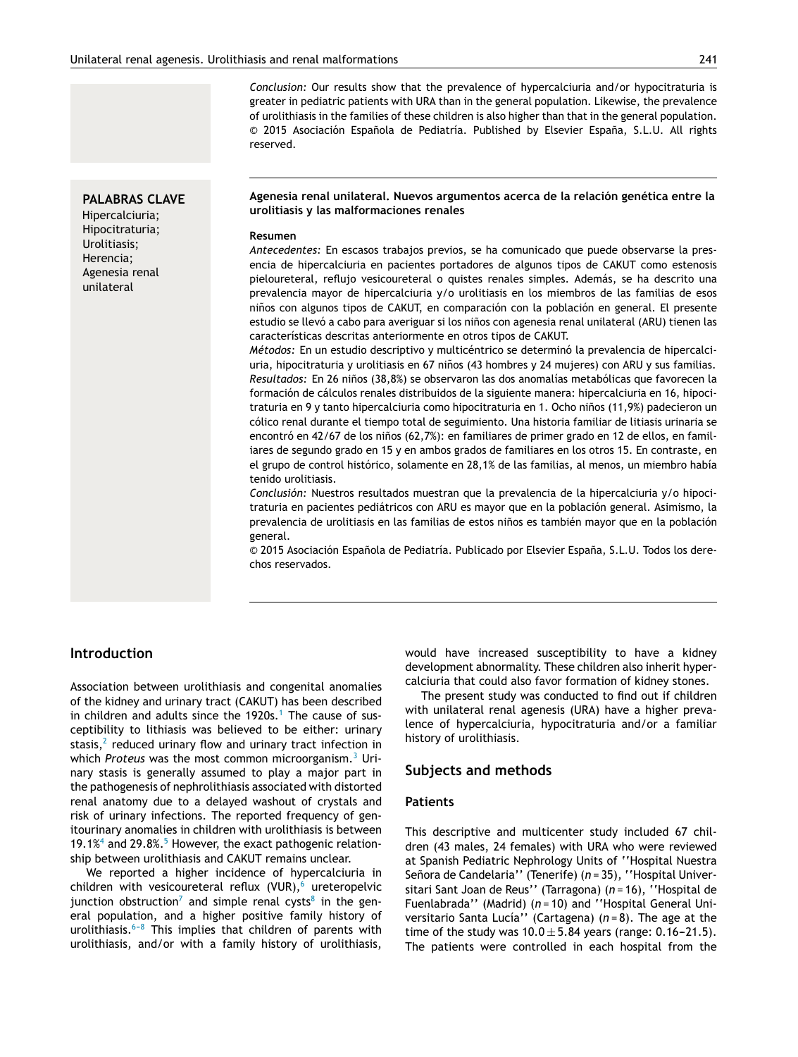*Conclusion:* Our results show that the prevalence of hypercalciuria and/or hypocitraturia is greater in pediatric patients with URA than in the general population. Likewise, the prevalence of urolithiasis in the families of these children is also higher than that in the general population.  $\odot$  2015 Asociación Española de Pediatría. Published by Elsevier España, S.L.U. All rights reserved.

## **PALABRAS CLAVE**

Hipercalciuria; Hipocitraturia; Urolitiasis; Herencia; Agenesia renal unilateral

#### **Agenesia renal unilateral. Nuevos argumentos acerca de la relación genética entre la urolitiasis y las malformaciones renales**

#### **Resumen**

*Antecedentes:* En escasos trabajos previos, se ha comunicado que puede observarse la presencia de hipercalciuria en pacientes portadores de algunos tipos de CAKUT como estenosis pieloureteral, reflujo vesicoureteral o quistes renales simples. Además, se ha descrito una prevalencia mayor de hipercalciuria y/o urolitiasis en los miembros de las familias de esos niños con algunos tipos de CAKUT, en comparación con la población en general. El presente estudio se llevó a cabo para averiguar si los niños con agenesia renal unilateral (ARU) tienen las características descritas anteriormente en otros tipos de CAKUT.

*Métodos:* En un estudio descriptivo y multicéntrico se determinó la prevalencia de hipercalciuria, hipocitraturia y urolitiasis en 67 niños (43 hombres y 24 mujeres) con ARU y sus familias. *Resultados:* En 26 niños (38,8%) se observaron las dos anomalías metabólicas que favorecen la formación de cálculos renales distribuidos de la siguiente manera: hipercalciuria en 16, hipocitraturia en 9 y tanto hipercalciuria como hipocitraturia en 1. Ocho niños (11,9%) padecieron un cólico renal durante el tiempo total de seguimiento. Una historia familiar de litiasis urinaria se encontró en 42/67 de los niños (62,7%): en familiares de primer grado en 12 de ellos, en familiares de segundo grado en 15 y en ambos grados de familiares en los otros 15. En contraste, en el grupo de control histórico, solamente en 28,1% de las familias, al menos, un miembro había tenido urolitiasis.

*Conclusión:* Nuestros resultados muestran que la prevalencia de la hipercalciuria y/o hipocitraturia en pacientes pediátricos con ARU es mayor que en la población general. Asimismo, la prevalencia de urolitiasis en las familias de estos niños es también mayor que en la población general.

© 2015 Asociación Española de Pediatría. Publicado por Elsevier España, S.L.U. Todos los derechos reservados.

## **Introduction**

Association between urolithiasis and congenital anomalies of the kidney and urinary tract (CAKUT) has been described in children and adults since the  $1920s$  $1920s$ .<sup>1</sup> The cause of susceptibility to lithiasis was believed to be either: urinary stasis, $^2$  $^2$  reduced urinary flow and urinary tract infection in which *Proteus* was the most common microorganism.[3](#page-5-0) Urinary stasis is generally assumed to play a major part in the pathogenesis of nephrolithiasis associated with distorted renal anatomy due to a delayed washout of crystals and risk of urinary infections. The reported frequency of genitourinary anomalies in children with urolithiasis is between 19.1% $4$  [a](#page-5-0)nd 29.8%.<sup>[5](#page-5-0)</sup> However, the exact pathogenic relationship between urolithiasis and CAKUT remains unclear.

We reported a higher incidence of hypercalciuria in children with vesicoureteral reflux (VUR),<sup>[6](#page-5-0)</sup> ureteropelvic junction obstruction<sup>[7](#page-5-0)</sup> and simple renal cysts<sup>[8](#page-5-0)</sup> in the general population, and a higher positive family history of urolithiasis. $6-8$  This implies that children of parents with urolithiasis, and/or with a family history of urolithiasis, would have increased susceptibility to have a kidney development abnormality. These children also inherit hypercalciuria that could also favor formation of kidney stones.

The present study was conducted to find out if children with unilateral renal agenesis (URA) have a higher prevalence of hypercalciuria, hypocitraturia and/or a familiar history of urolithiasis.

## **Subjects and methods**

#### **Patients**

This descriptive and multicenter study included 67 children (43 males, 24 females) with URA who were reviewed at Spanish Pediatric Nephrology Units of ''Hospital Nuestra Señora de Candelaria'' (Tenerife) (n = 35), ''Hospital Universitari Sant Joan de Reus'' (Tarragona) (*n* = 16), ''Hospital de Fuenlabrada'' (Madrid) (*n* = 10) and ''Hospital General Universitario Santa Lucía'' (Cartagena) (*n* = 8). The age at the time of the study was  $10.0 \pm 5.84$  years (range: 0.16-21.5). The patients were controlled in each hospital from the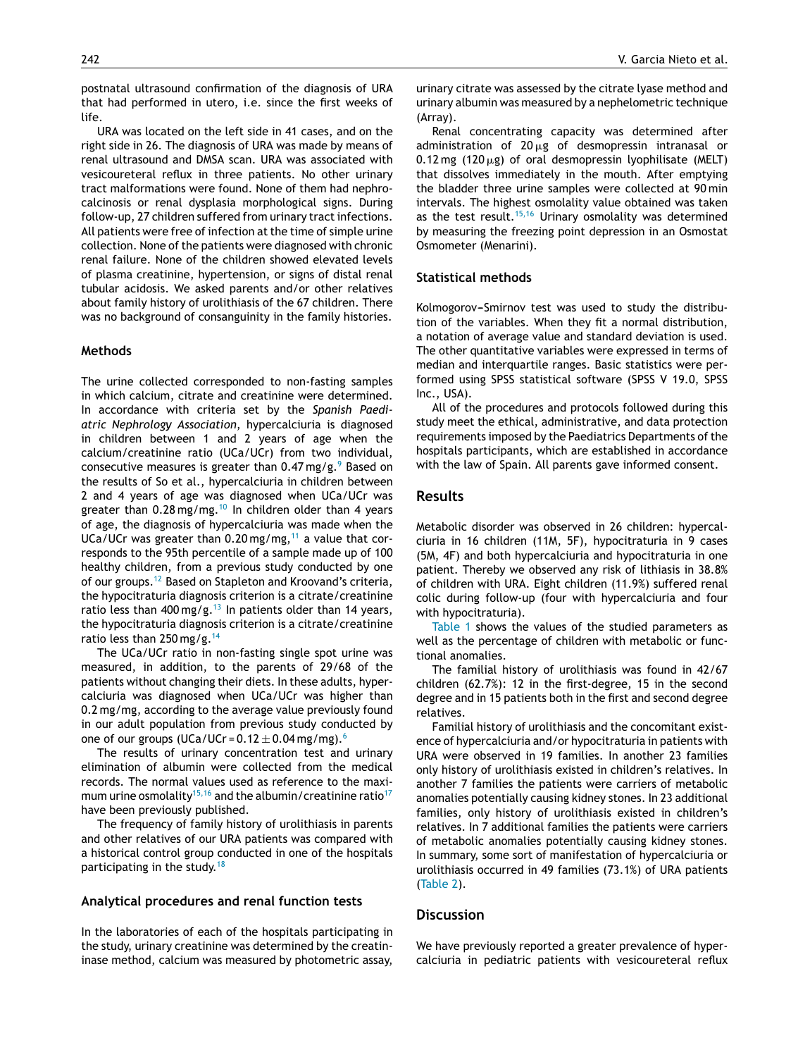postnatal ultrasound confirmation of the diagnosis of URA that had performed in utero, i.e. since the first weeks of life.

URA was located on the left side in 41 cases, and on the right side in 26. The diagnosis of URA was made by means of renal ultrasound and DMSA scan. URA was associated with vesicoureteral reflux in three patients. No other urinary tract malformations were found. None of them had nephrocalcinosis or renal dysplasia morphological signs. During follow-up, 27 children suffered from urinary tract infections. All patients were free of infection at the time of simple urine collection. None of the patients were diagnosed with chronic renal failure. None of the children showed elevated levels of plasma creatinine, hypertension, or signs of distal renal tubular acidosis. We asked parents and/or other relatives about family history of urolithiasis of the 67 children. There was no background of consanguinity in the family histories.

#### **Methods**

The urine collected corresponded to non-fasting samples in which calcium, citrate and creatinine were determined. In accordance with criteria set by the *Spanish Paediatric Nephrology Association*, hypercalciuria is diagnosed in children between 1 and 2 years of age when the calcium/creatinine ratio (UCa/UCr) from two individual, consecutive measures is greater than  $0.47$  mg/g.<sup>[9](#page-5-0)</sup> Based on the results of So et al., hypercalciuria in children between 2 and 4 years of age was diagnosed when UCa/UCr was greater than  $0.28$  mg/mg.<sup>[10](#page-5-0)</sup> In children older than 4 years of age, the diagnosis of hypercalciuria was made when the UCa/UCr was greater than  $0.20$  mg/mg,<sup>[11](#page-5-0)</sup> a value that corresponds to the 95th percentile of a sample made up of 100 healthy children, from a previous study conducted by one of our groups.[12](#page-5-0) Based on Stapleton and Kroovand's criteria, the hypocitraturia diagnosis criterion is a citrate/creatinine ratio less than 400 mg/g.<sup>[13](#page-5-0)</sup> In patients older than 14 years, the hypocitraturia diagnosis criterion is a citrate/creatinine ratio less than 250 mg/g.[14](#page-5-0)

The UCa/UCr ratio in non-fasting single spot urine was measured, in addition, to the parents of 29/68 of the patients without changing their diets. In these adults, hypercalciuria was diagnosed when UCa/UCr was higher than 0.2 mg/mg, according to the average value previously found in our adult population from previous study conducted by one of our groups (UCa/UCr =  $0.12 \pm 0.04$  mg/mg).<sup>[6](#page-5-0)</sup>

The results of urinary concentration test and urinary elimination of albumin were collected from the medical records. The normal values used as reference to the maxi-mum urine osmolality<sup>[15,16](#page-5-0)</sup> and the albumin/creatinine ratio<sup>[17](#page-5-0)</sup> have been previously published.

The frequency of family history of urolithiasis in parents and other relatives of our URA patients was compared with a historical control group conducted in one of the hospitals participating in the study.<sup>[18](#page-5-0)</sup>

#### **Analytical procedures and renal function tests**

In the laboratories of each of the hospitals participating in the study, urinary creatinine was determined by the creatininase method, calcium was measured by photometric assay, urinary citrate was assessed by the citrate lyase method and urinary albumin was measured by a nephelometric technique (Array).

Renal concentrating capacity was determined after administration of 20  $\mu$ g of desmopressin intranasal or  $0.12\,\text{mg}$  (120  $\mu$ g) of oral desmopressin lyophilisate (MELT) that dissolves immediately in the mouth. After emptying the bladder three urine samples were collected at 90 min intervals. The highest osmolality value obtained was taken as the test result.<sup>[15,16](#page-5-0)</sup> Urinary osmolality was determined by measuring the freezing point depression in an Osmostat Osmometer (Menarini).

#### **Statistical methods**

Kolmogorov-Smirnov test was used to study the distribution of the variables. When they fit a normal distribution, a notation of average value and standard deviation is used. The other quantitative variables were expressed in terms of median and interquartile ranges. Basic statistics were performed using SPSS statistical software (SPSS V 19.0, SPSS Inc., USA).

All of the procedures and protocols followed during this study meet the ethical, administrative, and data protection requirements imposed by the Paediatrics Departments of the hospitals participants, which are established in accordance with the law of Spain. All parents gave informed consent.

#### **Results**

Metabolic disorder was observed in 26 children: hypercalciuria in 16 children (11M, 5F), hypocitraturia in 9 cases (5M, 4F) and both hypercalciuria and hypocitraturia in one patient. Thereby we observed any risk of lithiasis in 38.8% of children with URA. Eight children (11.9%) suffered renal colic during follow-up (four with hypercalciuria and four with hypocitraturia).

[Table](#page-3-0) 1 shows the values of the studied parameters as well as the percentage of children with metabolic or functional anomalies.

The familial history of urolithiasis was found in 42/67 children (62.7%): 12 in the first-degree, 15 in the second degree and in 15 patients both in the first and second degree relatives.

Familial history of urolithiasis and the concomitant existence of hypercalciuria and/or hypocitraturia in patients with URA were observed in 19 families. In another 23 families only history of urolithiasis existed in children's relatives. In another 7 families the patients were carriers of metabolic anomalies potentially causing kidney stones. In 23 additional families, only history of urolithiasis existed in children's relatives. In 7 additional families the patients were carriers of metabolic anomalies potentially causing kidney stones. In summary, some sort of manifestation of hypercalciuria or urolithiasis occurred in 49 families (73.1%) of URA patients [\(Table](#page-3-0) 2).

## **Discussion**

We have previously reported a greater prevalence of hypercalciuria in pediatric patients with vesicoureteral reflux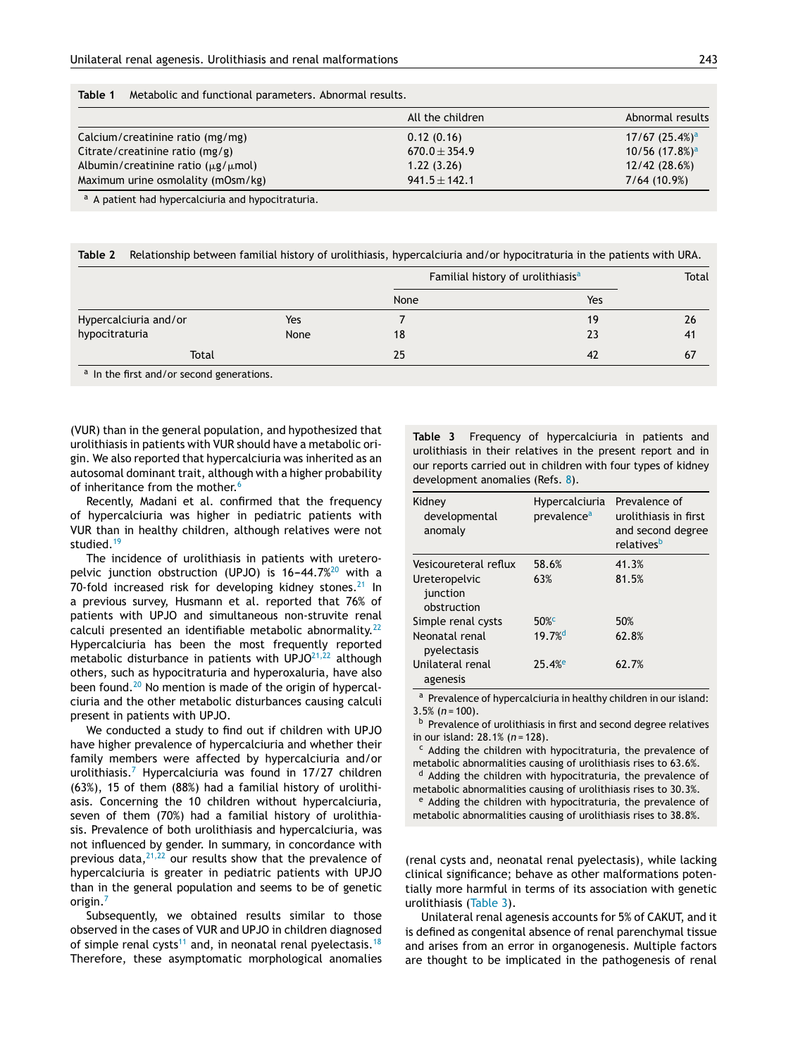<span id="page-3-0"></span>

| Table 1 |  |  |  |  |  |  | Metabolic and functional parameters. Abnormal results. |  |  |
|---------|--|--|--|--|--|--|--------------------------------------------------------|--|--|
|---------|--|--|--|--|--|--|--------------------------------------------------------|--|--|

|                                               | All the children  | Abnormal results                |
|-----------------------------------------------|-------------------|---------------------------------|
| Calcium/creatinine ratio (mg/mg)              | 0.12(0.16)        | $17/67$ $(25.4\%)$ <sup>a</sup> |
| Citrate/creatinine ratio $(mg/g)$             | $670.0 \pm 354.9$ | $10/56$ (17.8%) <sup>a</sup>    |
| Albumin/creatinine ratio $(\mu$ g/ $\mu$ mol) | 1.22(3.26)        | 12/42(28.6%)                    |
| Maximum urine osmolality (mOsm/kg)            | $941.5 \pm 142.1$ | 7/64(10.9%)                     |

a A patient had hypercalciuria and hypocitraturia.

**Table 2** Relationship between familial history of urolithiasis, hypercalciuria and/or hypocitraturia in the patients with URA.

|                                                                                                            |            | Familial history of urolithiasis <sup>a</sup> |     | Total |
|------------------------------------------------------------------------------------------------------------|------------|-----------------------------------------------|-----|-------|
|                                                                                                            |            | None                                          | Yes |       |
| Hypercalciuria and/or                                                                                      | Yes        |                                               | 19  | 26    |
|                                                                                                            | None<br>18 |                                               | 23  | 41    |
| Total                                                                                                      |            | 25                                            | 42  | 67    |
| hypocitraturia<br>$\mathbf{a}$ , and $\mathbf{c}$ , and $\mathbf{a}$ , and $\mathbf{a}$ , and $\mathbf{a}$ |            |                                               |     |       |

a In the first and/or second generations.

(VUR) than in the general population, and hypothesized that urolithiasis in patients with VUR should have a metabolic origin. We also reported that hypercalciuria was inherited as an autosomal dominant trait, although with a higher probability of inheritance from the mother.<sup>[6](#page-5-0)</sup>

Recently, Madani et al. confirmed that the frequency of hypercalciuria was higher in pediatric patients with VUR than in healthy children, although relatives were not studied.<sup>[19](#page-5-0)</sup>

The incidence of urolithiasis in patients with ureteropelvic junction obstruction (UPJO) is  $16-44.7\frac{20}{10}$  $16-44.7\frac{20}{10}$  $16-44.7\frac{20}{10}$  with a 70-fold increased risk for developing kidney stones. $^{21}$  $^{21}$  $^{21}$  In a previous survey, Husmann et al. reported that 76% of patients with UPJO and simultaneous non-struvite renal calculi presented an identifiable metabolic abnormality.<sup>[22](#page-5-0)</sup> Hypercalciuria has been the most frequently reported metabolic disturbance in patients with UPJO<sup>[21,22](#page-5-0)</sup> although others, such as hypocitraturia and hyperoxaluria, have also been found.<sup>[20](#page-5-0)</sup> No mention is made of the origin of hypercalciuria and the other metabolic disturbances causing calculi present in patients with UPJO.

We conducted a study to find out if children with UPJO have higher prevalence of hypercalciuria and whether their family members were affected by hypercalciuria and/or urolithiasis.[7](#page-5-0) Hypercalciuria was found in 17/27 children (63%), 15 of them (88%) had a familial history of urolithiasis. Concerning the 10 children without hypercalciuria, seven of them (70%) had a familial history of urolithiasis. Prevalence of both urolithiasis and hypercalciuria, was not influenced by gender. In summary, in concordance with previous data, $2^{1,22}$  our results show that the prevalence of hypercalciuria is greater in pediatric patients with UPJO than in the general population and seems to be of genetic origin.<sup>[7](#page-5-0)</sup>

Subsequently, we obtained results similar to those observed in the cases of VUR and UPJO in children diagnosed of simple renal cysts<sup>[11](#page-5-0)</sup> and, in neonatal renal pyelectasis.<sup>[18](#page-5-0)</sup> Therefore, these asymptomatic morphological anomalies **Table 3** Frequency of hypercalciuria in patients and urolithiasis in their relatives in the present report and in our reports carried out in children with four types of kidney development anomalies (Refs. [8\).](#page-5-0)

| Kidney<br>developmental<br>anomaly                                | Hypercalciuria<br>prevalence <sup>a</sup> | Prevalence of<br>urolithiasis in first<br>and second degree<br>relatives <sup>b</sup> |
|-------------------------------------------------------------------|-------------------------------------------|---------------------------------------------------------------------------------------|
| Vesicoureteral reflux<br>Ureteropelvic<br>junction<br>obstruction | 58.6%<br>63%                              | 41.3%<br>81.5%                                                                        |
| Simple renal cysts                                                | $50\%$                                    | 50%                                                                                   |
| Neonatal renal<br>pyelectasis                                     | $19.7%$ <sup>d</sup>                      | 62.8%                                                                                 |
| Unilateral renal<br>agenesis                                      | 25.4%                                     | 62.7%                                                                                 |

a Prevalence of hypercalciuria in healthy children in our island: 3.5% (*n* = 100).

b Prevalence of urolithiasis in first and second degree relatives in our island: 28.1% (*n* = 128).

<sup>c</sup> Adding the children with hypocitraturia, the prevalence of metabolic abnormalities causing of urolithiasis rises to 63.6%.

 $d$  Adding the children with hypocitraturia, the prevalence of metabolic abnormalities causing of urolithiasis rises to 30.3%.

<sup>e</sup> Adding the children with hypocitraturia, the prevalence of metabolic abnormalities causing of urolithiasis rises to 38.8%.

(renal cysts and, neonatal renal pyelectasis), while lacking clinical significance; behave as other malformations potentially more harmful in terms of its association with genetic urolithiasis (Table 3).

Unilateral renal agenesis accounts for 5% of CAKUT, and it is defined as congenital absence of renal parenchymal tissue and arises from an error in organogenesis. Multiple factors are thought to be implicated in the pathogenesis of renal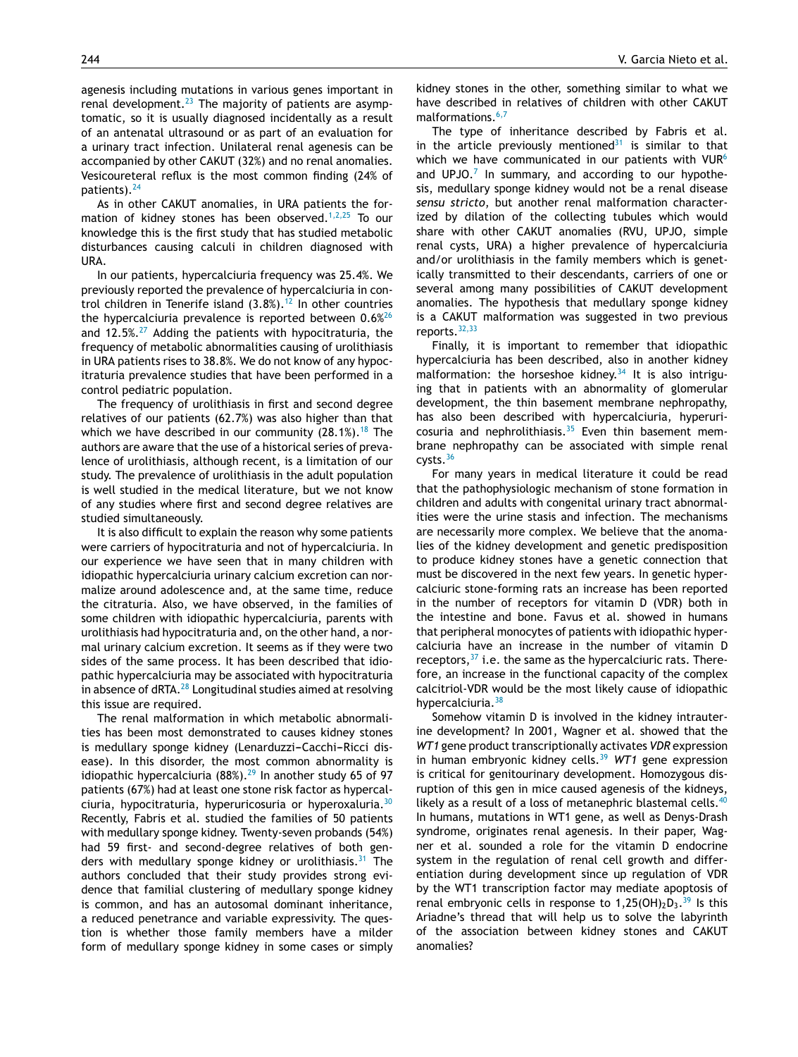agenesis including mutations in various genes important in renal development. $^{23}$  $^{23}$  $^{23}$  The majority of patients are asymptomatic, so it is usually diagnosed incidentally as a result of an antenatal ultrasound or as part of an evaluation for a urinary tract infection. Unilateral renal agenesis can be accompanied by other CAKUT (32%) and no renal anomalies. Vesicoureteral reflux is the most common finding (24% of patients).<sup>[24](#page-5-0)</sup>

As in other CAKUT anomalies, in URA patients the for-mation of kidney stones has been observed.<sup>[1,2,25](#page-5-0)</sup> To our knowledge this is the first study that has studied metabolic disturbances causing calculi in children diagnosed with URA.

In our patients, hypercalciuria frequency was 25.4%. We previously reported the prevalence of hypercalciuria in control children in Tenerife island  $(3.8\%)$ .<sup>[12](#page-5-0)</sup> In other countries the hypercalciuria prevalence is reported between  $0.6\%$ <sup>[26](#page-5-0)</sup> and 12.5%. $27$  Adding the patients with hypocitraturia, the frequency of metabolic abnormalities causing of urolithiasis in URA patients rises to 38.8%. We do not know of any hypocitraturia prevalence studies that have been performed in a control pediatric population.

The frequency of urolithiasis in first and second degree relatives of our patients (62.7%) was also higher than that which we have described in our community  $(28.1\%)$ .<sup>[18](#page-5-0)</sup> The authors are aware that the use of a historical series of prevalence of urolithiasis, although recent, is a limitation of our study. The prevalence of urolithiasis in the adult population is well studied in the medical literature, but we not know of any studies where first and second degree relatives are studied simultaneously.

It is also difficult to explain the reason why some patients were carriers of hypocitraturia and not of hypercalciuria. In our experience we have seen that in many children with idiopathic hypercalciuria urinary calcium excretion can normalize around adolescence and, at the same time, reduce the citraturia. Also, we have observed, in the families of some children with idiopathic hypercalciuria, parents with urolithiasis had hypocitraturia and, on the other hand, a normal urinary calcium excretion. It seems as if they were two sides of the same process. It has been described that idiopathic hypercalciuria may be associated with hypocitraturia in absence of  $dRTA<sup>28</sup>$  $dRTA<sup>28</sup>$  $dRTA<sup>28</sup>$  Longitudinal studies aimed at resolving this issue are required.

The renal malformation in which metabolic abnormalities has been most demonstrated to causes kidney stones is medullary sponge kidney (Lenarduzzi-Cacchi-Ricci disease). In this disorder, the most common abnormality is idiopathic hypercalciuria  $(88%)$ .<sup>[29](#page-5-0)</sup> In another study 65 of 97 patients (67%) had at least one stone risk factor as hypercalciuria, hypocitraturia, hyperuricosuria or hyperoxaluria.[30](#page-5-0) Recently, Fabris et al. studied the families of 50 patients with medullary sponge kidney. Twenty-seven probands (54%) had 59 first- and second-degree relatives of both gen-ders with medullary sponge kidney or urolithiasis.<sup>[31](#page-5-0)</sup> The authors concluded that their study provides strong evidence that familial clustering of medullary sponge kidney is common, and has an autosomal dominant inheritance, a reduced penetrance and variable expressivity. The question is whether those family members have a milder form of medullary sponge kidney in some cases or simply

kidney stones in the other, something similar to what we have described in relatives of children with other CAKUT malformations.<sup>[6,7](#page-5-0)</sup>

The type of inheritance described by Fabris et al. in the article previously mentioned<sup>[31](#page-5-0)</sup> is similar to that which we have communicated in our patients with  $VUR<sup>6</sup>$  $VUR<sup>6</sup>$  $VUR<sup>6</sup>$ and UPJO. $7$  In summary, and according to our hypothesis, medullary sponge kidney would not be a renal disease *sensu stricto*, but another renal malformation characterized by dilation of the collecting tubules which would share with other CAKUT anomalies (RVU, UPJO, simple renal cysts, URA) a higher prevalence of hypercalciuria and/or urolithiasis in the family members which is genetically transmitted to their descendants, carriers of one or several among many possibilities of CAKUT development anomalies. The hypothesis that medullary sponge kidney is a CAKUT malformation was suggested in two previous reports.<sup>[32,33](#page-5-0)</sup>

Finally, it is important to remember that idiopathic hypercalciuria has been described, also in another kidney malformation: the horseshoe kidney. $34$  It is also intriguing that in patients with an abnormality of glomerular development, the thin basement membrane nephropathy, has also been described with hypercalciuria, hyperuricosuria and nephrolithiasis. $35$  Even thin basement membrane nephropathy can be associated with simple renal cysts.[36](#page-5-0)

For many years in medical literature it could be read that the pathophysiologic mechanism of stone formation in children and adults with congenital urinary tract abnormalities were the urine stasis and infection. The mechanisms are necessarily more complex. We believe that the anomalies of the kidney development and genetic predisposition to produce kidney stones have a genetic connection that must be discovered in the next few years. In genetic hypercalciuric stone-forming rats an increase has been reported in the number of receptors for vitamin D (VDR) both in the intestine and bone. Favus et al. showed in humans that peripheral monocytes of patients with idiopathic hypercalciuria have an increase in the number of vitamin D receptors,  $37$  i.e. the same as the hypercalciuric rats. Therefore, an increase in the functional capacity of the complex calcitriol-VDR would be the most likely cause of idiopathic hypercalciuria.<sup>[38](#page-6-0)</sup>

Somehow vitamin D is involved in the kidney intrauterine development? In 2001, Wagner et al. showed that the *WT1* gene product transcriptionally activates *VDR* expression in human embryonic kidney cells.<sup>[39](#page-6-0)</sup> WT1 gene expression is critical for genitourinary development. Homozygous disruption of this gen in mice caused agenesis of the kidneys, likely as a result of a loss of metanephric blastemal cells. In humans, mutations in WT1 gene, as well as Denys-Drash syndrome, originates renal agenesis. In their paper, Wagner et al. sounded a role for the vitamin D endocrine system in the regulation of renal cell growth and differentiation during development since up regulation of VDR by the WT1 transcription factor may mediate apoptosis of renal embryonic cells in response to 1,25(OH)<sub>2</sub>D<sub>3</sub>.<sup>[39](#page-6-0)</sup> Is this Ariadne's thread that will help us to solve the labyrinth of the association between kidney stones and CAKUT anomalies?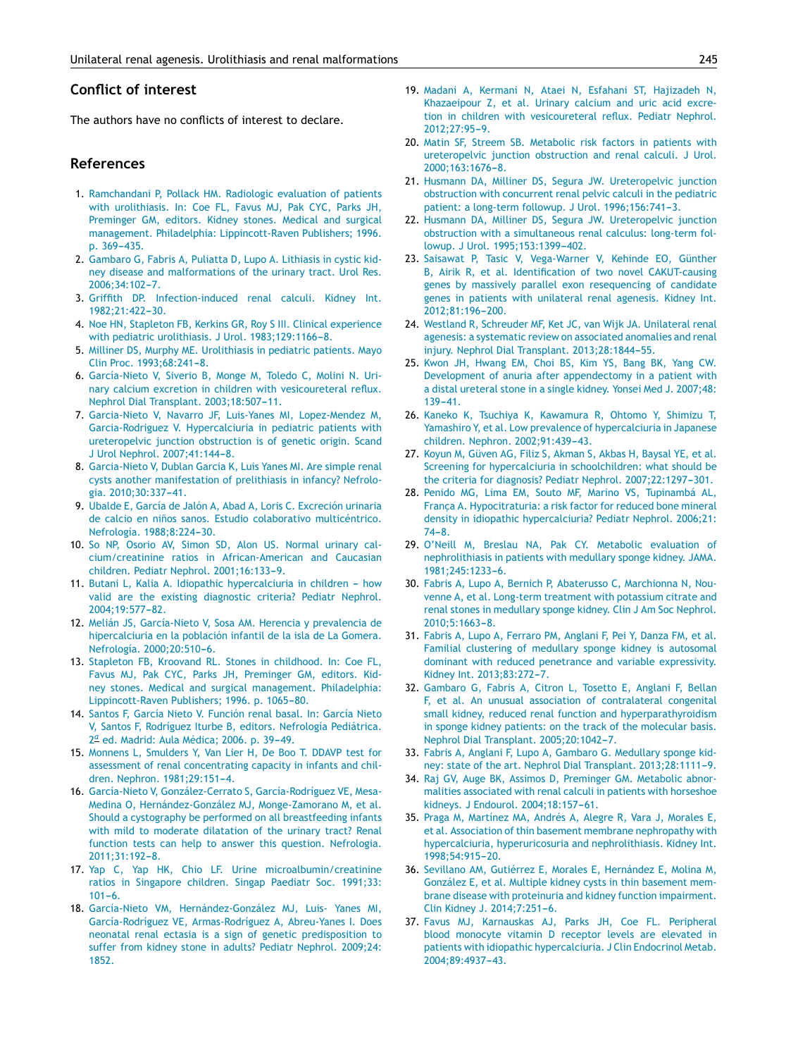## <span id="page-5-0"></span>**Conflict of interest**

The authors have no conflicts of interest to declare.

## **References**

- 1. [Ramchandani](http://refhub.elsevier.com/S2341-2879(15)00275-6/sbref0205) [P,](http://refhub.elsevier.com/S2341-2879(15)00275-6/sbref0205) [Pollack](http://refhub.elsevier.com/S2341-2879(15)00275-6/sbref0205) [HM.](http://refhub.elsevier.com/S2341-2879(15)00275-6/sbref0205) [Radiologic](http://refhub.elsevier.com/S2341-2879(15)00275-6/sbref0205) [evaluation](http://refhub.elsevier.com/S2341-2879(15)00275-6/sbref0205) [of](http://refhub.elsevier.com/S2341-2879(15)00275-6/sbref0205) [patients](http://refhub.elsevier.com/S2341-2879(15)00275-6/sbref0205) [with](http://refhub.elsevier.com/S2341-2879(15)00275-6/sbref0205) [urolithiasis.](http://refhub.elsevier.com/S2341-2879(15)00275-6/sbref0205) [In:](http://refhub.elsevier.com/S2341-2879(15)00275-6/sbref0205) [Coe](http://refhub.elsevier.com/S2341-2879(15)00275-6/sbref0205) [FL,](http://refhub.elsevier.com/S2341-2879(15)00275-6/sbref0205) [Favus](http://refhub.elsevier.com/S2341-2879(15)00275-6/sbref0205) [MJ,](http://refhub.elsevier.com/S2341-2879(15)00275-6/sbref0205) [Pak](http://refhub.elsevier.com/S2341-2879(15)00275-6/sbref0205) [CYC,](http://refhub.elsevier.com/S2341-2879(15)00275-6/sbref0205) [Parks](http://refhub.elsevier.com/S2341-2879(15)00275-6/sbref0205) [JH,](http://refhub.elsevier.com/S2341-2879(15)00275-6/sbref0205) [Preminger](http://refhub.elsevier.com/S2341-2879(15)00275-6/sbref0205) [GM,](http://refhub.elsevier.com/S2341-2879(15)00275-6/sbref0205) [editors.](http://refhub.elsevier.com/S2341-2879(15)00275-6/sbref0205) [Kidney](http://refhub.elsevier.com/S2341-2879(15)00275-6/sbref0205) [stones.](http://refhub.elsevier.com/S2341-2879(15)00275-6/sbref0205) [Medical](http://refhub.elsevier.com/S2341-2879(15)00275-6/sbref0205) [and](http://refhub.elsevier.com/S2341-2879(15)00275-6/sbref0205) [surgical](http://refhub.elsevier.com/S2341-2879(15)00275-6/sbref0205) [management.](http://refhub.elsevier.com/S2341-2879(15)00275-6/sbref0205) [Philadelphia:](http://refhub.elsevier.com/S2341-2879(15)00275-6/sbref0205) [Lippincott-Raven](http://refhub.elsevier.com/S2341-2879(15)00275-6/sbref0205) [Publishers;](http://refhub.elsevier.com/S2341-2879(15)00275-6/sbref0205) [1996.](http://refhub.elsevier.com/S2341-2879(15)00275-6/sbref0205) [p.](http://refhub.elsevier.com/S2341-2879(15)00275-6/sbref0205) [369](http://refhub.elsevier.com/S2341-2879(15)00275-6/sbref0205)-[435.](http://refhub.elsevier.com/S2341-2879(15)00275-6/sbref0205)
- 2. [Gambaro](http://refhub.elsevier.com/S2341-2879(15)00275-6/sbref0210) [G,](http://refhub.elsevier.com/S2341-2879(15)00275-6/sbref0210) [Fabris](http://refhub.elsevier.com/S2341-2879(15)00275-6/sbref0210) [A,](http://refhub.elsevier.com/S2341-2879(15)00275-6/sbref0210) [Puliatta](http://refhub.elsevier.com/S2341-2879(15)00275-6/sbref0210) [D,](http://refhub.elsevier.com/S2341-2879(15)00275-6/sbref0210) [Lupo](http://refhub.elsevier.com/S2341-2879(15)00275-6/sbref0210) [A.](http://refhub.elsevier.com/S2341-2879(15)00275-6/sbref0210) [Lithiasis](http://refhub.elsevier.com/S2341-2879(15)00275-6/sbref0210) [in](http://refhub.elsevier.com/S2341-2879(15)00275-6/sbref0210) [cystic](http://refhub.elsevier.com/S2341-2879(15)00275-6/sbref0210) [kid](http://refhub.elsevier.com/S2341-2879(15)00275-6/sbref0210)[ney](http://refhub.elsevier.com/S2341-2879(15)00275-6/sbref0210) [disease](http://refhub.elsevier.com/S2341-2879(15)00275-6/sbref0210) [and](http://refhub.elsevier.com/S2341-2879(15)00275-6/sbref0210) [malformations](http://refhub.elsevier.com/S2341-2879(15)00275-6/sbref0210) [of](http://refhub.elsevier.com/S2341-2879(15)00275-6/sbref0210) [the](http://refhub.elsevier.com/S2341-2879(15)00275-6/sbref0210) [urinary](http://refhub.elsevier.com/S2341-2879(15)00275-6/sbref0210) [tract.](http://refhub.elsevier.com/S2341-2879(15)00275-6/sbref0210) [Urol](http://refhub.elsevier.com/S2341-2879(15)00275-6/sbref0210) [Res.](http://refhub.elsevier.com/S2341-2879(15)00275-6/sbref0210) 2006:34:102[-7.](http://refhub.elsevier.com/S2341-2879(15)00275-6/sbref0210)
- 3. [Griffith](http://refhub.elsevier.com/S2341-2879(15)00275-6/sbref0215) [DP.](http://refhub.elsevier.com/S2341-2879(15)00275-6/sbref0215) [Infection-induced](http://refhub.elsevier.com/S2341-2879(15)00275-6/sbref0215) [renal](http://refhub.elsevier.com/S2341-2879(15)00275-6/sbref0215) [calculi.](http://refhub.elsevier.com/S2341-2879(15)00275-6/sbref0215) [Kidney](http://refhub.elsevier.com/S2341-2879(15)00275-6/sbref0215) [Int.](http://refhub.elsevier.com/S2341-2879(15)00275-6/sbref0215) [1982;21:422](http://refhub.elsevier.com/S2341-2879(15)00275-6/sbref0215)-[30.](http://refhub.elsevier.com/S2341-2879(15)00275-6/sbref0215)
- 4. [Noe](http://refhub.elsevier.com/S2341-2879(15)00275-6/sbref0220) [HN,](http://refhub.elsevier.com/S2341-2879(15)00275-6/sbref0220) [Stapleton](http://refhub.elsevier.com/S2341-2879(15)00275-6/sbref0220) [FB,](http://refhub.elsevier.com/S2341-2879(15)00275-6/sbref0220) [Kerkins](http://refhub.elsevier.com/S2341-2879(15)00275-6/sbref0220) [GR,](http://refhub.elsevier.com/S2341-2879(15)00275-6/sbref0220) [Roy](http://refhub.elsevier.com/S2341-2879(15)00275-6/sbref0220) [S](http://refhub.elsevier.com/S2341-2879(15)00275-6/sbref0220) [III.](http://refhub.elsevier.com/S2341-2879(15)00275-6/sbref0220) [Clinical](http://refhub.elsevier.com/S2341-2879(15)00275-6/sbref0220) [experience](http://refhub.elsevier.com/S2341-2879(15)00275-6/sbref0220) [with](http://refhub.elsevier.com/S2341-2879(15)00275-6/sbref0220) [pediatric](http://refhub.elsevier.com/S2341-2879(15)00275-6/sbref0220) [urolithiasis.](http://refhub.elsevier.com/S2341-2879(15)00275-6/sbref0220) [J](http://refhub.elsevier.com/S2341-2879(15)00275-6/sbref0220) [Urol.](http://refhub.elsevier.com/S2341-2879(15)00275-6/sbref0220) [1983;129:1166](http://refhub.elsevier.com/S2341-2879(15)00275-6/sbref0220)-[8.](http://refhub.elsevier.com/S2341-2879(15)00275-6/sbref0220)
- 5. [Milliner](http://refhub.elsevier.com/S2341-2879(15)00275-6/sbref0225) [DS,](http://refhub.elsevier.com/S2341-2879(15)00275-6/sbref0225) [Murphy](http://refhub.elsevier.com/S2341-2879(15)00275-6/sbref0225) [ME.](http://refhub.elsevier.com/S2341-2879(15)00275-6/sbref0225) [Urolithiasis](http://refhub.elsevier.com/S2341-2879(15)00275-6/sbref0225) [in](http://refhub.elsevier.com/S2341-2879(15)00275-6/sbref0225) [pediatric](http://refhub.elsevier.com/S2341-2879(15)00275-6/sbref0225) [patients.](http://refhub.elsevier.com/S2341-2879(15)00275-6/sbref0225) [Mayo](http://refhub.elsevier.com/S2341-2879(15)00275-6/sbref0225) [Clin](http://refhub.elsevier.com/S2341-2879(15)00275-6/sbref0225) [Proc.](http://refhub.elsevier.com/S2341-2879(15)00275-6/sbref0225) 1993;68:241-8.
- 6. [García-Nieto](http://refhub.elsevier.com/S2341-2879(15)00275-6/sbref0230) [V,](http://refhub.elsevier.com/S2341-2879(15)00275-6/sbref0230) [Siverio](http://refhub.elsevier.com/S2341-2879(15)00275-6/sbref0230) [B,](http://refhub.elsevier.com/S2341-2879(15)00275-6/sbref0230) [Monge](http://refhub.elsevier.com/S2341-2879(15)00275-6/sbref0230) [M,](http://refhub.elsevier.com/S2341-2879(15)00275-6/sbref0230) [Toledo](http://refhub.elsevier.com/S2341-2879(15)00275-6/sbref0230) [C,](http://refhub.elsevier.com/S2341-2879(15)00275-6/sbref0230) [Molini](http://refhub.elsevier.com/S2341-2879(15)00275-6/sbref0230) [N.](http://refhub.elsevier.com/S2341-2879(15)00275-6/sbref0230) [Uri](http://refhub.elsevier.com/S2341-2879(15)00275-6/sbref0230)[nary](http://refhub.elsevier.com/S2341-2879(15)00275-6/sbref0230) [calcium](http://refhub.elsevier.com/S2341-2879(15)00275-6/sbref0230) [excretion](http://refhub.elsevier.com/S2341-2879(15)00275-6/sbref0230) [in](http://refhub.elsevier.com/S2341-2879(15)00275-6/sbref0230) [children](http://refhub.elsevier.com/S2341-2879(15)00275-6/sbref0230) [with](http://refhub.elsevier.com/S2341-2879(15)00275-6/sbref0230) [vesicoureteral](http://refhub.elsevier.com/S2341-2879(15)00275-6/sbref0230) [reflux.](http://refhub.elsevier.com/S2341-2879(15)00275-6/sbref0230) [Nephrol](http://refhub.elsevier.com/S2341-2879(15)00275-6/sbref0230) [Dial](http://refhub.elsevier.com/S2341-2879(15)00275-6/sbref0230) [Transplant.](http://refhub.elsevier.com/S2341-2879(15)00275-6/sbref0230) 2003;18:507-11.
- 7. [Garcia-Nieto](http://refhub.elsevier.com/S2341-2879(15)00275-6/sbref0235) [V,](http://refhub.elsevier.com/S2341-2879(15)00275-6/sbref0235) [Navarro](http://refhub.elsevier.com/S2341-2879(15)00275-6/sbref0235) [JF,](http://refhub.elsevier.com/S2341-2879(15)00275-6/sbref0235) [Luis-Yanes](http://refhub.elsevier.com/S2341-2879(15)00275-6/sbref0235) [MI,](http://refhub.elsevier.com/S2341-2879(15)00275-6/sbref0235) [Lopez-Mendez](http://refhub.elsevier.com/S2341-2879(15)00275-6/sbref0235) [M,](http://refhub.elsevier.com/S2341-2879(15)00275-6/sbref0235) [Garcia-Rodriguez](http://refhub.elsevier.com/S2341-2879(15)00275-6/sbref0235) [V.](http://refhub.elsevier.com/S2341-2879(15)00275-6/sbref0235) [Hypercalciuria](http://refhub.elsevier.com/S2341-2879(15)00275-6/sbref0235) [in](http://refhub.elsevier.com/S2341-2879(15)00275-6/sbref0235) [pediatric](http://refhub.elsevier.com/S2341-2879(15)00275-6/sbref0235) [patients](http://refhub.elsevier.com/S2341-2879(15)00275-6/sbref0235) [with](http://refhub.elsevier.com/S2341-2879(15)00275-6/sbref0235) [ureteropelvic](http://refhub.elsevier.com/S2341-2879(15)00275-6/sbref0235) [junction](http://refhub.elsevier.com/S2341-2879(15)00275-6/sbref0235) [obstruction](http://refhub.elsevier.com/S2341-2879(15)00275-6/sbref0235) [is](http://refhub.elsevier.com/S2341-2879(15)00275-6/sbref0235) [of](http://refhub.elsevier.com/S2341-2879(15)00275-6/sbref0235) [genetic](http://refhub.elsevier.com/S2341-2879(15)00275-6/sbref0235) [origin.](http://refhub.elsevier.com/S2341-2879(15)00275-6/sbref0235) [Scand](http://refhub.elsevier.com/S2341-2879(15)00275-6/sbref0235) [J](http://refhub.elsevier.com/S2341-2879(15)00275-6/sbref0235) [Urol](http://refhub.elsevier.com/S2341-2879(15)00275-6/sbref0235) [Nephrol.](http://refhub.elsevier.com/S2341-2879(15)00275-6/sbref0235) 2007;41:144-8.
- 8. [Garcia-Nieto](http://refhub.elsevier.com/S2341-2879(15)00275-6/sbref0240) [V,](http://refhub.elsevier.com/S2341-2879(15)00275-6/sbref0240) [Dublan](http://refhub.elsevier.com/S2341-2879(15)00275-6/sbref0240) [Garcia](http://refhub.elsevier.com/S2341-2879(15)00275-6/sbref0240) [K,](http://refhub.elsevier.com/S2341-2879(15)00275-6/sbref0240) [Luis](http://refhub.elsevier.com/S2341-2879(15)00275-6/sbref0240) [Yanes](http://refhub.elsevier.com/S2341-2879(15)00275-6/sbref0240) [MI.](http://refhub.elsevier.com/S2341-2879(15)00275-6/sbref0240) [Are](http://refhub.elsevier.com/S2341-2879(15)00275-6/sbref0240) [simple](http://refhub.elsevier.com/S2341-2879(15)00275-6/sbref0240) [renal](http://refhub.elsevier.com/S2341-2879(15)00275-6/sbref0240) [cysts](http://refhub.elsevier.com/S2341-2879(15)00275-6/sbref0240) [another](http://refhub.elsevier.com/S2341-2879(15)00275-6/sbref0240) [manifestation](http://refhub.elsevier.com/S2341-2879(15)00275-6/sbref0240) [of](http://refhub.elsevier.com/S2341-2879(15)00275-6/sbref0240) [prelithiasis](http://refhub.elsevier.com/S2341-2879(15)00275-6/sbref0240) [in](http://refhub.elsevier.com/S2341-2879(15)00275-6/sbref0240) [infancy?](http://refhub.elsevier.com/S2341-2879(15)00275-6/sbref0240) [Nefrolo](http://refhub.elsevier.com/S2341-2879(15)00275-6/sbref0240)[gia.](http://refhub.elsevier.com/S2341-2879(15)00275-6/sbref0240) 2010;30:337-41.
- 9. [Ubalde](http://refhub.elsevier.com/S2341-2879(15)00275-6/sbref0245) [E,](http://refhub.elsevier.com/S2341-2879(15)00275-6/sbref0245) [García](http://refhub.elsevier.com/S2341-2879(15)00275-6/sbref0245) [de](http://refhub.elsevier.com/S2341-2879(15)00275-6/sbref0245) [Jalón](http://refhub.elsevier.com/S2341-2879(15)00275-6/sbref0245) [A,](http://refhub.elsevier.com/S2341-2879(15)00275-6/sbref0245) [Abad](http://refhub.elsevier.com/S2341-2879(15)00275-6/sbref0245) [A,](http://refhub.elsevier.com/S2341-2879(15)00275-6/sbref0245) [Loris](http://refhub.elsevier.com/S2341-2879(15)00275-6/sbref0245) [C.](http://refhub.elsevier.com/S2341-2879(15)00275-6/sbref0245) [Excreción](http://refhub.elsevier.com/S2341-2879(15)00275-6/sbref0245) [urinaria](http://refhub.elsevier.com/S2341-2879(15)00275-6/sbref0245) [de](http://refhub.elsevier.com/S2341-2879(15)00275-6/sbref0245) [calcio](http://refhub.elsevier.com/S2341-2879(15)00275-6/sbref0245) [en](http://refhub.elsevier.com/S2341-2879(15)00275-6/sbref0245) niños [sanos.](http://refhub.elsevier.com/S2341-2879(15)00275-6/sbref0245) [Estudio](http://refhub.elsevier.com/S2341-2879(15)00275-6/sbref0245) [colaborativo](http://refhub.elsevier.com/S2341-2879(15)00275-6/sbref0245) [multicéntrico.](http://refhub.elsevier.com/S2341-2879(15)00275-6/sbref0245) [Nefrología.](http://refhub.elsevier.com/S2341-2879(15)00275-6/sbref0245) 1988;8:224-30.
- 10. [So](http://refhub.elsevier.com/S2341-2879(15)00275-6/sbref0250) [NP,](http://refhub.elsevier.com/S2341-2879(15)00275-6/sbref0250) [Osorio](http://refhub.elsevier.com/S2341-2879(15)00275-6/sbref0250) [AV,](http://refhub.elsevier.com/S2341-2879(15)00275-6/sbref0250) [Simon](http://refhub.elsevier.com/S2341-2879(15)00275-6/sbref0250) [SD,](http://refhub.elsevier.com/S2341-2879(15)00275-6/sbref0250) [Alon](http://refhub.elsevier.com/S2341-2879(15)00275-6/sbref0250) [US.](http://refhub.elsevier.com/S2341-2879(15)00275-6/sbref0250) [Normal](http://refhub.elsevier.com/S2341-2879(15)00275-6/sbref0250) [urinary](http://refhub.elsevier.com/S2341-2879(15)00275-6/sbref0250) [cal](http://refhub.elsevier.com/S2341-2879(15)00275-6/sbref0250)[cium/creatinine](http://refhub.elsevier.com/S2341-2879(15)00275-6/sbref0250) [ratios](http://refhub.elsevier.com/S2341-2879(15)00275-6/sbref0250) [in](http://refhub.elsevier.com/S2341-2879(15)00275-6/sbref0250) [African-American](http://refhub.elsevier.com/S2341-2879(15)00275-6/sbref0250) [and](http://refhub.elsevier.com/S2341-2879(15)00275-6/sbref0250) [Caucasian](http://refhub.elsevier.com/S2341-2879(15)00275-6/sbref0250) [children.](http://refhub.elsevier.com/S2341-2879(15)00275-6/sbref0250) [Pediatr](http://refhub.elsevier.com/S2341-2879(15)00275-6/sbref0250) [Nephrol.](http://refhub.elsevier.com/S2341-2879(15)00275-6/sbref0250) 2001;16:133-9.
- 11. [Butani](http://refhub.elsevier.com/S2341-2879(15)00275-6/sbref0255) [L,](http://refhub.elsevier.com/S2341-2879(15)00275-6/sbref0255) [Kalia](http://refhub.elsevier.com/S2341-2879(15)00275-6/sbref0255) [A.](http://refhub.elsevier.com/S2341-2879(15)00275-6/sbref0255) [Idiopathic](http://refhub.elsevier.com/S2341-2879(15)00275-6/sbref0255) [hypercalciuria](http://refhub.elsevier.com/S2341-2879(15)00275-6/sbref0255) [in](http://refhub.elsevier.com/S2341-2879(15)00275-6/sbref0255) [children](http://refhub.elsevier.com/S2341-2879(15)00275-6/sbref0255) [how](http://refhub.elsevier.com/S2341-2879(15)00275-6/sbref0255) [valid](http://refhub.elsevier.com/S2341-2879(15)00275-6/sbref0255) [are](http://refhub.elsevier.com/S2341-2879(15)00275-6/sbref0255) [the](http://refhub.elsevier.com/S2341-2879(15)00275-6/sbref0255) [existing](http://refhub.elsevier.com/S2341-2879(15)00275-6/sbref0255) [diagnostic](http://refhub.elsevier.com/S2341-2879(15)00275-6/sbref0255) [criteria?](http://refhub.elsevier.com/S2341-2879(15)00275-6/sbref0255) [Pediatr](http://refhub.elsevier.com/S2341-2879(15)00275-6/sbref0255) [Nephrol.](http://refhub.elsevier.com/S2341-2879(15)00275-6/sbref0255) [2004;19:577](http://refhub.elsevier.com/S2341-2879(15)00275-6/sbref0255)[-82.](http://refhub.elsevier.com/S2341-2879(15)00275-6/sbref0255)
- 12. [Melián](http://refhub.elsevier.com/S2341-2879(15)00275-6/sbref0260) [JS,](http://refhub.elsevier.com/S2341-2879(15)00275-6/sbref0260) [García-Nieto](http://refhub.elsevier.com/S2341-2879(15)00275-6/sbref0260) [V,](http://refhub.elsevier.com/S2341-2879(15)00275-6/sbref0260) [Sosa](http://refhub.elsevier.com/S2341-2879(15)00275-6/sbref0260) [AM.](http://refhub.elsevier.com/S2341-2879(15)00275-6/sbref0260) [Herencia](http://refhub.elsevier.com/S2341-2879(15)00275-6/sbref0260) [y](http://refhub.elsevier.com/S2341-2879(15)00275-6/sbref0260) [prevalencia](http://refhub.elsevier.com/S2341-2879(15)00275-6/sbref0260) [de](http://refhub.elsevier.com/S2341-2879(15)00275-6/sbref0260) [hipercalciuria](http://refhub.elsevier.com/S2341-2879(15)00275-6/sbref0260) [en](http://refhub.elsevier.com/S2341-2879(15)00275-6/sbref0260) [la](http://refhub.elsevier.com/S2341-2879(15)00275-6/sbref0260) [población](http://refhub.elsevier.com/S2341-2879(15)00275-6/sbref0260) [infantil](http://refhub.elsevier.com/S2341-2879(15)00275-6/sbref0260) [de](http://refhub.elsevier.com/S2341-2879(15)00275-6/sbref0260) [la](http://refhub.elsevier.com/S2341-2879(15)00275-6/sbref0260) [isla](http://refhub.elsevier.com/S2341-2879(15)00275-6/sbref0260) [de](http://refhub.elsevier.com/S2341-2879(15)00275-6/sbref0260) [La](http://refhub.elsevier.com/S2341-2879(15)00275-6/sbref0260) [Gomera.](http://refhub.elsevier.com/S2341-2879(15)00275-6/sbref0260) [Nefrología.](http://refhub.elsevier.com/S2341-2879(15)00275-6/sbref0260) [2000;20:510](http://refhub.elsevier.com/S2341-2879(15)00275-6/sbref0260)-[6.](http://refhub.elsevier.com/S2341-2879(15)00275-6/sbref0260)
- 13. [Stapleton](http://refhub.elsevier.com/S2341-2879(15)00275-6/sbref0265) [FB,](http://refhub.elsevier.com/S2341-2879(15)00275-6/sbref0265) [Kroovand](http://refhub.elsevier.com/S2341-2879(15)00275-6/sbref0265) [RL.](http://refhub.elsevier.com/S2341-2879(15)00275-6/sbref0265) [Stones](http://refhub.elsevier.com/S2341-2879(15)00275-6/sbref0265) [in](http://refhub.elsevier.com/S2341-2879(15)00275-6/sbref0265) [childhood.](http://refhub.elsevier.com/S2341-2879(15)00275-6/sbref0265) [In:](http://refhub.elsevier.com/S2341-2879(15)00275-6/sbref0265) [Coe](http://refhub.elsevier.com/S2341-2879(15)00275-6/sbref0265) [FL,](http://refhub.elsevier.com/S2341-2879(15)00275-6/sbref0265) [Favus](http://refhub.elsevier.com/S2341-2879(15)00275-6/sbref0265) [MJ,](http://refhub.elsevier.com/S2341-2879(15)00275-6/sbref0265) [Pak](http://refhub.elsevier.com/S2341-2879(15)00275-6/sbref0265) [CYC,](http://refhub.elsevier.com/S2341-2879(15)00275-6/sbref0265) [Parks](http://refhub.elsevier.com/S2341-2879(15)00275-6/sbref0265) [JH,](http://refhub.elsevier.com/S2341-2879(15)00275-6/sbref0265) [Preminger](http://refhub.elsevier.com/S2341-2879(15)00275-6/sbref0265) [GM,](http://refhub.elsevier.com/S2341-2879(15)00275-6/sbref0265) [editors.](http://refhub.elsevier.com/S2341-2879(15)00275-6/sbref0265) [Kid](http://refhub.elsevier.com/S2341-2879(15)00275-6/sbref0265)[ney](http://refhub.elsevier.com/S2341-2879(15)00275-6/sbref0265) [stones.](http://refhub.elsevier.com/S2341-2879(15)00275-6/sbref0265) [Medical](http://refhub.elsevier.com/S2341-2879(15)00275-6/sbref0265) [and](http://refhub.elsevier.com/S2341-2879(15)00275-6/sbref0265) [surgical](http://refhub.elsevier.com/S2341-2879(15)00275-6/sbref0265) [management.](http://refhub.elsevier.com/S2341-2879(15)00275-6/sbref0265) [Philadelphia:](http://refhub.elsevier.com/S2341-2879(15)00275-6/sbref0265) [Lippincott-Raven](http://refhub.elsevier.com/S2341-2879(15)00275-6/sbref0265) [Publishers;](http://refhub.elsevier.com/S2341-2879(15)00275-6/sbref0265) [1996.](http://refhub.elsevier.com/S2341-2879(15)00275-6/sbref0265) [p.](http://refhub.elsevier.com/S2341-2879(15)00275-6/sbref0265) 1065-80.
- 14. [Santos](http://refhub.elsevier.com/S2341-2879(15)00275-6/sbref0270) [F,](http://refhub.elsevier.com/S2341-2879(15)00275-6/sbref0270) [García](http://refhub.elsevier.com/S2341-2879(15)00275-6/sbref0270) [Nieto](http://refhub.elsevier.com/S2341-2879(15)00275-6/sbref0270) [V.](http://refhub.elsevier.com/S2341-2879(15)00275-6/sbref0270) [Función](http://refhub.elsevier.com/S2341-2879(15)00275-6/sbref0270) [renal](http://refhub.elsevier.com/S2341-2879(15)00275-6/sbref0270) [basal.](http://refhub.elsevier.com/S2341-2879(15)00275-6/sbref0270) [In:](http://refhub.elsevier.com/S2341-2879(15)00275-6/sbref0270) [García](http://refhub.elsevier.com/S2341-2879(15)00275-6/sbref0270) [Nieto](http://refhub.elsevier.com/S2341-2879(15)00275-6/sbref0270) [V,](http://refhub.elsevier.com/S2341-2879(15)00275-6/sbref0270) [Santos](http://refhub.elsevier.com/S2341-2879(15)00275-6/sbref0270) [F,](http://refhub.elsevier.com/S2341-2879(15)00275-6/sbref0270) [Rodríguez](http://refhub.elsevier.com/S2341-2879(15)00275-6/sbref0270) [Iturbe](http://refhub.elsevier.com/S2341-2879(15)00275-6/sbref0270) [B,](http://refhub.elsevier.com/S2341-2879(15)00275-6/sbref0270) [editors.](http://refhub.elsevier.com/S2341-2879(15)00275-6/sbref0270) [Nefrología](http://refhub.elsevier.com/S2341-2879(15)00275-6/sbref0270) [Pediátrica.](http://refhub.elsevier.com/S2341-2879(15)00275-6/sbref0270) [2](http://refhub.elsevier.com/S2341-2879(15)00275-6/sbref0270)ª ed. M[a](http://refhub.elsevier.com/S2341-2879(15)00275-6/sbref0270)drid: [Aula](http://refhub.elsevier.com/S2341-2879(15)00275-6/sbref0270) [Médica;](http://refhub.elsevier.com/S2341-2879(15)00275-6/sbref0270) [2006.](http://refhub.elsevier.com/S2341-2879(15)00275-6/sbref0270) [p.](http://refhub.elsevier.com/S2341-2879(15)00275-6/sbref0270) 39-49.
- 15. [Monnens](http://refhub.elsevier.com/S2341-2879(15)00275-6/sbref0275) [L,](http://refhub.elsevier.com/S2341-2879(15)00275-6/sbref0275) [Smulders](http://refhub.elsevier.com/S2341-2879(15)00275-6/sbref0275) [Y,](http://refhub.elsevier.com/S2341-2879(15)00275-6/sbref0275) [Van](http://refhub.elsevier.com/S2341-2879(15)00275-6/sbref0275) [Lier](http://refhub.elsevier.com/S2341-2879(15)00275-6/sbref0275) [H,](http://refhub.elsevier.com/S2341-2879(15)00275-6/sbref0275) [De](http://refhub.elsevier.com/S2341-2879(15)00275-6/sbref0275) [Boo](http://refhub.elsevier.com/S2341-2879(15)00275-6/sbref0275) [T.](http://refhub.elsevier.com/S2341-2879(15)00275-6/sbref0275) [DDAVP](http://refhub.elsevier.com/S2341-2879(15)00275-6/sbref0275) [test](http://refhub.elsevier.com/S2341-2879(15)00275-6/sbref0275) [for](http://refhub.elsevier.com/S2341-2879(15)00275-6/sbref0275) [assessment](http://refhub.elsevier.com/S2341-2879(15)00275-6/sbref0275) [of](http://refhub.elsevier.com/S2341-2879(15)00275-6/sbref0275) [renal](http://refhub.elsevier.com/S2341-2879(15)00275-6/sbref0275) [concentrating](http://refhub.elsevier.com/S2341-2879(15)00275-6/sbref0275) [capacity](http://refhub.elsevier.com/S2341-2879(15)00275-6/sbref0275) [in](http://refhub.elsevier.com/S2341-2879(15)00275-6/sbref0275) [infants](http://refhub.elsevier.com/S2341-2879(15)00275-6/sbref0275) [and](http://refhub.elsevier.com/S2341-2879(15)00275-6/sbref0275) [chil](http://refhub.elsevier.com/S2341-2879(15)00275-6/sbref0275)[dren.](http://refhub.elsevier.com/S2341-2879(15)00275-6/sbref0275) [Nephron.](http://refhub.elsevier.com/S2341-2879(15)00275-6/sbref0275) 1981;29:151-4.
- 16. [García-Nieto](http://refhub.elsevier.com/S2341-2879(15)00275-6/sbref0280) [V,](http://refhub.elsevier.com/S2341-2879(15)00275-6/sbref0280) [González-Cerrato](http://refhub.elsevier.com/S2341-2879(15)00275-6/sbref0280) [S,](http://refhub.elsevier.com/S2341-2879(15)00275-6/sbref0280) [García-Rodríguez](http://refhub.elsevier.com/S2341-2879(15)00275-6/sbref0280) [VE,](http://refhub.elsevier.com/S2341-2879(15)00275-6/sbref0280) [Mesa-](http://refhub.elsevier.com/S2341-2879(15)00275-6/sbref0280)[Medina](http://refhub.elsevier.com/S2341-2879(15)00275-6/sbref0280) [O,](http://refhub.elsevier.com/S2341-2879(15)00275-6/sbref0280) [Hernández-González](http://refhub.elsevier.com/S2341-2879(15)00275-6/sbref0280) [MJ,](http://refhub.elsevier.com/S2341-2879(15)00275-6/sbref0280) [Monge-Zamorano](http://refhub.elsevier.com/S2341-2879(15)00275-6/sbref0280) [M,](http://refhub.elsevier.com/S2341-2879(15)00275-6/sbref0280) [et](http://refhub.elsevier.com/S2341-2879(15)00275-6/sbref0280) [al.](http://refhub.elsevier.com/S2341-2879(15)00275-6/sbref0280) [Should](http://refhub.elsevier.com/S2341-2879(15)00275-6/sbref0280) [a](http://refhub.elsevier.com/S2341-2879(15)00275-6/sbref0280) [cystography](http://refhub.elsevier.com/S2341-2879(15)00275-6/sbref0280) [be](http://refhub.elsevier.com/S2341-2879(15)00275-6/sbref0280) [performed](http://refhub.elsevier.com/S2341-2879(15)00275-6/sbref0280) [on](http://refhub.elsevier.com/S2341-2879(15)00275-6/sbref0280) [all](http://refhub.elsevier.com/S2341-2879(15)00275-6/sbref0280) [breastfeeding](http://refhub.elsevier.com/S2341-2879(15)00275-6/sbref0280) [infants](http://refhub.elsevier.com/S2341-2879(15)00275-6/sbref0280) [with](http://refhub.elsevier.com/S2341-2879(15)00275-6/sbref0280) [mild](http://refhub.elsevier.com/S2341-2879(15)00275-6/sbref0280) [to](http://refhub.elsevier.com/S2341-2879(15)00275-6/sbref0280) [moderate](http://refhub.elsevier.com/S2341-2879(15)00275-6/sbref0280) [dilatation](http://refhub.elsevier.com/S2341-2879(15)00275-6/sbref0280) [of](http://refhub.elsevier.com/S2341-2879(15)00275-6/sbref0280) [the](http://refhub.elsevier.com/S2341-2879(15)00275-6/sbref0280) [urinary](http://refhub.elsevier.com/S2341-2879(15)00275-6/sbref0280) [tract?](http://refhub.elsevier.com/S2341-2879(15)00275-6/sbref0280) [Renal](http://refhub.elsevier.com/S2341-2879(15)00275-6/sbref0280) [function](http://refhub.elsevier.com/S2341-2879(15)00275-6/sbref0280) [tests](http://refhub.elsevier.com/S2341-2879(15)00275-6/sbref0280) [can](http://refhub.elsevier.com/S2341-2879(15)00275-6/sbref0280) [help](http://refhub.elsevier.com/S2341-2879(15)00275-6/sbref0280) [to](http://refhub.elsevier.com/S2341-2879(15)00275-6/sbref0280) [answer](http://refhub.elsevier.com/S2341-2879(15)00275-6/sbref0280) [this](http://refhub.elsevier.com/S2341-2879(15)00275-6/sbref0280) [question.](http://refhub.elsevier.com/S2341-2879(15)00275-6/sbref0280) [Nefrologia.](http://refhub.elsevier.com/S2341-2879(15)00275-6/sbref0280) 2011;31:192-8.
- 17. [Yap](http://refhub.elsevier.com/S2341-2879(15)00275-6/sbref0285) [C,](http://refhub.elsevier.com/S2341-2879(15)00275-6/sbref0285) [Yap](http://refhub.elsevier.com/S2341-2879(15)00275-6/sbref0285) [HK,](http://refhub.elsevier.com/S2341-2879(15)00275-6/sbref0285) [Chio](http://refhub.elsevier.com/S2341-2879(15)00275-6/sbref0285) [LF.](http://refhub.elsevier.com/S2341-2879(15)00275-6/sbref0285) [Urine](http://refhub.elsevier.com/S2341-2879(15)00275-6/sbref0285) [microalbumin/creatinine](http://refhub.elsevier.com/S2341-2879(15)00275-6/sbref0285) [ratios](http://refhub.elsevier.com/S2341-2879(15)00275-6/sbref0285) [in](http://refhub.elsevier.com/S2341-2879(15)00275-6/sbref0285) [Singapore](http://refhub.elsevier.com/S2341-2879(15)00275-6/sbref0285) [children.](http://refhub.elsevier.com/S2341-2879(15)00275-6/sbref0285) [Singap](http://refhub.elsevier.com/S2341-2879(15)00275-6/sbref0285) [Paediatr](http://refhub.elsevier.com/S2341-2879(15)00275-6/sbref0285) [Soc.](http://refhub.elsevier.com/S2341-2879(15)00275-6/sbref0285) [1991;33:](http://refhub.elsevier.com/S2341-2879(15)00275-6/sbref0285)  $101 - 6$ .
- 18. [García-Nieto](http://refhub.elsevier.com/S2341-2879(15)00275-6/sbref0290) [VM,](http://refhub.elsevier.com/S2341-2879(15)00275-6/sbref0290) [Hernández-González](http://refhub.elsevier.com/S2341-2879(15)00275-6/sbref0290) [MJ,](http://refhub.elsevier.com/S2341-2879(15)00275-6/sbref0290) [Luis-](http://refhub.elsevier.com/S2341-2879(15)00275-6/sbref0290) [Yanes](http://refhub.elsevier.com/S2341-2879(15)00275-6/sbref0290) [MI,](http://refhub.elsevier.com/S2341-2879(15)00275-6/sbref0290) [García-Rodríguez](http://refhub.elsevier.com/S2341-2879(15)00275-6/sbref0290) [VE,](http://refhub.elsevier.com/S2341-2879(15)00275-6/sbref0290) [Armas-Rodríguez](http://refhub.elsevier.com/S2341-2879(15)00275-6/sbref0290) [A,](http://refhub.elsevier.com/S2341-2879(15)00275-6/sbref0290) [Abreu-Yanes](http://refhub.elsevier.com/S2341-2879(15)00275-6/sbref0290) [I.](http://refhub.elsevier.com/S2341-2879(15)00275-6/sbref0290) [Does](http://refhub.elsevier.com/S2341-2879(15)00275-6/sbref0290) [neonatal](http://refhub.elsevier.com/S2341-2879(15)00275-6/sbref0290) [renal](http://refhub.elsevier.com/S2341-2879(15)00275-6/sbref0290) [ectasia](http://refhub.elsevier.com/S2341-2879(15)00275-6/sbref0290) [is](http://refhub.elsevier.com/S2341-2879(15)00275-6/sbref0290) [a](http://refhub.elsevier.com/S2341-2879(15)00275-6/sbref0290) [sign](http://refhub.elsevier.com/S2341-2879(15)00275-6/sbref0290) [of](http://refhub.elsevier.com/S2341-2879(15)00275-6/sbref0290) [genetic](http://refhub.elsevier.com/S2341-2879(15)00275-6/sbref0290) [predisposition](http://refhub.elsevier.com/S2341-2879(15)00275-6/sbref0290) [to](http://refhub.elsevier.com/S2341-2879(15)00275-6/sbref0290) [suffer](http://refhub.elsevier.com/S2341-2879(15)00275-6/sbref0290) [from](http://refhub.elsevier.com/S2341-2879(15)00275-6/sbref0290) [kidney](http://refhub.elsevier.com/S2341-2879(15)00275-6/sbref0290) [stone](http://refhub.elsevier.com/S2341-2879(15)00275-6/sbref0290) [in](http://refhub.elsevier.com/S2341-2879(15)00275-6/sbref0290) [adults?](http://refhub.elsevier.com/S2341-2879(15)00275-6/sbref0290) [Pediatr](http://refhub.elsevier.com/S2341-2879(15)00275-6/sbref0290) [Nephrol.](http://refhub.elsevier.com/S2341-2879(15)00275-6/sbref0290) [2009;24:](http://refhub.elsevier.com/S2341-2879(15)00275-6/sbref0290) [1852.](http://refhub.elsevier.com/S2341-2879(15)00275-6/sbref0290)
- 19. [Madani](http://refhub.elsevier.com/S2341-2879(15)00275-6/sbref0295) [A,](http://refhub.elsevier.com/S2341-2879(15)00275-6/sbref0295) [Kermani](http://refhub.elsevier.com/S2341-2879(15)00275-6/sbref0295) [N,](http://refhub.elsevier.com/S2341-2879(15)00275-6/sbref0295) [Ataei](http://refhub.elsevier.com/S2341-2879(15)00275-6/sbref0295) [N,](http://refhub.elsevier.com/S2341-2879(15)00275-6/sbref0295) [Esfahani](http://refhub.elsevier.com/S2341-2879(15)00275-6/sbref0295) [ST,](http://refhub.elsevier.com/S2341-2879(15)00275-6/sbref0295) [Hajizadeh](http://refhub.elsevier.com/S2341-2879(15)00275-6/sbref0295) [N,](http://refhub.elsevier.com/S2341-2879(15)00275-6/sbref0295) [Khazaeipour](http://refhub.elsevier.com/S2341-2879(15)00275-6/sbref0295) [Z,](http://refhub.elsevier.com/S2341-2879(15)00275-6/sbref0295) [et](http://refhub.elsevier.com/S2341-2879(15)00275-6/sbref0295) [al.](http://refhub.elsevier.com/S2341-2879(15)00275-6/sbref0295) [Urinary](http://refhub.elsevier.com/S2341-2879(15)00275-6/sbref0295) [calcium](http://refhub.elsevier.com/S2341-2879(15)00275-6/sbref0295) [and](http://refhub.elsevier.com/S2341-2879(15)00275-6/sbref0295) [uric](http://refhub.elsevier.com/S2341-2879(15)00275-6/sbref0295) [acid](http://refhub.elsevier.com/S2341-2879(15)00275-6/sbref0295) [excre](http://refhub.elsevier.com/S2341-2879(15)00275-6/sbref0295)[tion](http://refhub.elsevier.com/S2341-2879(15)00275-6/sbref0295) [in](http://refhub.elsevier.com/S2341-2879(15)00275-6/sbref0295) [children](http://refhub.elsevier.com/S2341-2879(15)00275-6/sbref0295) [with](http://refhub.elsevier.com/S2341-2879(15)00275-6/sbref0295) [vesicoureteral](http://refhub.elsevier.com/S2341-2879(15)00275-6/sbref0295) [reflux.](http://refhub.elsevier.com/S2341-2879(15)00275-6/sbref0295) [Pediatr](http://refhub.elsevier.com/S2341-2879(15)00275-6/sbref0295) [Nephrol.](http://refhub.elsevier.com/S2341-2879(15)00275-6/sbref0295) 2012:27:95-9.
- 20. [Matin](http://refhub.elsevier.com/S2341-2879(15)00275-6/sbref0300) [SF,](http://refhub.elsevier.com/S2341-2879(15)00275-6/sbref0300) [Streem](http://refhub.elsevier.com/S2341-2879(15)00275-6/sbref0300) [SB.](http://refhub.elsevier.com/S2341-2879(15)00275-6/sbref0300) [Metabolic](http://refhub.elsevier.com/S2341-2879(15)00275-6/sbref0300) [risk](http://refhub.elsevier.com/S2341-2879(15)00275-6/sbref0300) [factors](http://refhub.elsevier.com/S2341-2879(15)00275-6/sbref0300) [in](http://refhub.elsevier.com/S2341-2879(15)00275-6/sbref0300) [patients](http://refhub.elsevier.com/S2341-2879(15)00275-6/sbref0300) [with](http://refhub.elsevier.com/S2341-2879(15)00275-6/sbref0300) [ureteropelvic](http://refhub.elsevier.com/S2341-2879(15)00275-6/sbref0300) [junction](http://refhub.elsevier.com/S2341-2879(15)00275-6/sbref0300) [obstruction](http://refhub.elsevier.com/S2341-2879(15)00275-6/sbref0300) [and](http://refhub.elsevier.com/S2341-2879(15)00275-6/sbref0300) [renal](http://refhub.elsevier.com/S2341-2879(15)00275-6/sbref0300) [calculi.](http://refhub.elsevier.com/S2341-2879(15)00275-6/sbref0300) [J](http://refhub.elsevier.com/S2341-2879(15)00275-6/sbref0300) [Urol.](http://refhub.elsevier.com/S2341-2879(15)00275-6/sbref0300) 2000;163:1676-8.
- 21. [Husmann](http://refhub.elsevier.com/S2341-2879(15)00275-6/sbref0305) [DA,](http://refhub.elsevier.com/S2341-2879(15)00275-6/sbref0305) [Milliner](http://refhub.elsevier.com/S2341-2879(15)00275-6/sbref0305) [DS,](http://refhub.elsevier.com/S2341-2879(15)00275-6/sbref0305) [Segura](http://refhub.elsevier.com/S2341-2879(15)00275-6/sbref0305) [JW.](http://refhub.elsevier.com/S2341-2879(15)00275-6/sbref0305) [Ureteropelvic](http://refhub.elsevier.com/S2341-2879(15)00275-6/sbref0305) [junction](http://refhub.elsevier.com/S2341-2879(15)00275-6/sbref0305) [obstruction](http://refhub.elsevier.com/S2341-2879(15)00275-6/sbref0305) [with](http://refhub.elsevier.com/S2341-2879(15)00275-6/sbref0305) [concurrent](http://refhub.elsevier.com/S2341-2879(15)00275-6/sbref0305) [renal](http://refhub.elsevier.com/S2341-2879(15)00275-6/sbref0305) [pelvic](http://refhub.elsevier.com/S2341-2879(15)00275-6/sbref0305) [calculi](http://refhub.elsevier.com/S2341-2879(15)00275-6/sbref0305) [in](http://refhub.elsevier.com/S2341-2879(15)00275-6/sbref0305) [the](http://refhub.elsevier.com/S2341-2879(15)00275-6/sbref0305) [pediatric](http://refhub.elsevier.com/S2341-2879(15)00275-6/sbref0305) [patient:](http://refhub.elsevier.com/S2341-2879(15)00275-6/sbref0305) [a](http://refhub.elsevier.com/S2341-2879(15)00275-6/sbref0305) [long-term](http://refhub.elsevier.com/S2341-2879(15)00275-6/sbref0305) [followup.](http://refhub.elsevier.com/S2341-2879(15)00275-6/sbref0305) [J](http://refhub.elsevier.com/S2341-2879(15)00275-6/sbref0305) [Urol.](http://refhub.elsevier.com/S2341-2879(15)00275-6/sbref0305) 1996;156:741-3.
- 22. [Husmann](http://refhub.elsevier.com/S2341-2879(15)00275-6/sbref0310) [DA,](http://refhub.elsevier.com/S2341-2879(15)00275-6/sbref0310) [Milliner](http://refhub.elsevier.com/S2341-2879(15)00275-6/sbref0310) [DS,](http://refhub.elsevier.com/S2341-2879(15)00275-6/sbref0310) [Segura](http://refhub.elsevier.com/S2341-2879(15)00275-6/sbref0310) [JW.](http://refhub.elsevier.com/S2341-2879(15)00275-6/sbref0310) [Ureteropelvic](http://refhub.elsevier.com/S2341-2879(15)00275-6/sbref0310) [junction](http://refhub.elsevier.com/S2341-2879(15)00275-6/sbref0310) [obstruction](http://refhub.elsevier.com/S2341-2879(15)00275-6/sbref0310) [with](http://refhub.elsevier.com/S2341-2879(15)00275-6/sbref0310) [a](http://refhub.elsevier.com/S2341-2879(15)00275-6/sbref0310) [simultaneous](http://refhub.elsevier.com/S2341-2879(15)00275-6/sbref0310) [renal](http://refhub.elsevier.com/S2341-2879(15)00275-6/sbref0310) [calculus:](http://refhub.elsevier.com/S2341-2879(15)00275-6/sbref0310) [long-term](http://refhub.elsevier.com/S2341-2879(15)00275-6/sbref0310) [fol](http://refhub.elsevier.com/S2341-2879(15)00275-6/sbref0310)[lowup.](http://refhub.elsevier.com/S2341-2879(15)00275-6/sbref0310) [J](http://refhub.elsevier.com/S2341-2879(15)00275-6/sbref0310) [Urol.](http://refhub.elsevier.com/S2341-2879(15)00275-6/sbref0310) [1995;153:1399](http://refhub.elsevier.com/S2341-2879(15)00275-6/sbref0310)-[402.](http://refhub.elsevier.com/S2341-2879(15)00275-6/sbref0310)
- 23. [Saisawat](http://refhub.elsevier.com/S2341-2879(15)00275-6/sbref0315) [P,](http://refhub.elsevier.com/S2341-2879(15)00275-6/sbref0315) [Tasic](http://refhub.elsevier.com/S2341-2879(15)00275-6/sbref0315) [V,](http://refhub.elsevier.com/S2341-2879(15)00275-6/sbref0315) [Vega-Warner](http://refhub.elsevier.com/S2341-2879(15)00275-6/sbref0315) [V,](http://refhub.elsevier.com/S2341-2879(15)00275-6/sbref0315) [Kehinde](http://refhub.elsevier.com/S2341-2879(15)00275-6/sbref0315) [EO,](http://refhub.elsevier.com/S2341-2879(15)00275-6/sbref0315) [Günther](http://refhub.elsevier.com/S2341-2879(15)00275-6/sbref0315) [B,](http://refhub.elsevier.com/S2341-2879(15)00275-6/sbref0315) [Airik](http://refhub.elsevier.com/S2341-2879(15)00275-6/sbref0315) [R,](http://refhub.elsevier.com/S2341-2879(15)00275-6/sbref0315) [et](http://refhub.elsevier.com/S2341-2879(15)00275-6/sbref0315) [al.](http://refhub.elsevier.com/S2341-2879(15)00275-6/sbref0315) [Identification](http://refhub.elsevier.com/S2341-2879(15)00275-6/sbref0315) [of](http://refhub.elsevier.com/S2341-2879(15)00275-6/sbref0315) [two](http://refhub.elsevier.com/S2341-2879(15)00275-6/sbref0315) [novel](http://refhub.elsevier.com/S2341-2879(15)00275-6/sbref0315) [CAKUT-causing](http://refhub.elsevier.com/S2341-2879(15)00275-6/sbref0315) [genes](http://refhub.elsevier.com/S2341-2879(15)00275-6/sbref0315) [by](http://refhub.elsevier.com/S2341-2879(15)00275-6/sbref0315) [massively](http://refhub.elsevier.com/S2341-2879(15)00275-6/sbref0315) [parallel](http://refhub.elsevier.com/S2341-2879(15)00275-6/sbref0315) [exon](http://refhub.elsevier.com/S2341-2879(15)00275-6/sbref0315) [resequencing](http://refhub.elsevier.com/S2341-2879(15)00275-6/sbref0315) [of](http://refhub.elsevier.com/S2341-2879(15)00275-6/sbref0315) [candidate](http://refhub.elsevier.com/S2341-2879(15)00275-6/sbref0315) [genes](http://refhub.elsevier.com/S2341-2879(15)00275-6/sbref0315) [in](http://refhub.elsevier.com/S2341-2879(15)00275-6/sbref0315) [patients](http://refhub.elsevier.com/S2341-2879(15)00275-6/sbref0315) [with](http://refhub.elsevier.com/S2341-2879(15)00275-6/sbref0315) [unilateral](http://refhub.elsevier.com/S2341-2879(15)00275-6/sbref0315) [renal](http://refhub.elsevier.com/S2341-2879(15)00275-6/sbref0315) [agenesis.](http://refhub.elsevier.com/S2341-2879(15)00275-6/sbref0315) [Kidney](http://refhub.elsevier.com/S2341-2879(15)00275-6/sbref0315) [Int.](http://refhub.elsevier.com/S2341-2879(15)00275-6/sbref0315) [2012;81:196](http://refhub.elsevier.com/S2341-2879(15)00275-6/sbref0315)[-200.](http://refhub.elsevier.com/S2341-2879(15)00275-6/sbref0315)
- 24. [Westland](http://refhub.elsevier.com/S2341-2879(15)00275-6/sbref0320) [R,](http://refhub.elsevier.com/S2341-2879(15)00275-6/sbref0320) [Schreuder](http://refhub.elsevier.com/S2341-2879(15)00275-6/sbref0320) [MF,](http://refhub.elsevier.com/S2341-2879(15)00275-6/sbref0320) [Ket](http://refhub.elsevier.com/S2341-2879(15)00275-6/sbref0320) [JC,](http://refhub.elsevier.com/S2341-2879(15)00275-6/sbref0320) [van](http://refhub.elsevier.com/S2341-2879(15)00275-6/sbref0320) [Wijk](http://refhub.elsevier.com/S2341-2879(15)00275-6/sbref0320) [JA.](http://refhub.elsevier.com/S2341-2879(15)00275-6/sbref0320) [Unilateral](http://refhub.elsevier.com/S2341-2879(15)00275-6/sbref0320) [renal](http://refhub.elsevier.com/S2341-2879(15)00275-6/sbref0320) [agenesis:](http://refhub.elsevier.com/S2341-2879(15)00275-6/sbref0320) [a](http://refhub.elsevier.com/S2341-2879(15)00275-6/sbref0320) [systematic](http://refhub.elsevier.com/S2341-2879(15)00275-6/sbref0320) [review](http://refhub.elsevier.com/S2341-2879(15)00275-6/sbref0320) [on](http://refhub.elsevier.com/S2341-2879(15)00275-6/sbref0320) [associated](http://refhub.elsevier.com/S2341-2879(15)00275-6/sbref0320) [anomalies](http://refhub.elsevier.com/S2341-2879(15)00275-6/sbref0320) [and](http://refhub.elsevier.com/S2341-2879(15)00275-6/sbref0320) [renal](http://refhub.elsevier.com/S2341-2879(15)00275-6/sbref0320) [injury.](http://refhub.elsevier.com/S2341-2879(15)00275-6/sbref0320) [Nephrol](http://refhub.elsevier.com/S2341-2879(15)00275-6/sbref0320) [Dial](http://refhub.elsevier.com/S2341-2879(15)00275-6/sbref0320) [Transplant.](http://refhub.elsevier.com/S2341-2879(15)00275-6/sbref0320) 2013;28:1844-55.
- 25. [Kwon](http://refhub.elsevier.com/S2341-2879(15)00275-6/sbref0325) [JH,](http://refhub.elsevier.com/S2341-2879(15)00275-6/sbref0325) [Hwang](http://refhub.elsevier.com/S2341-2879(15)00275-6/sbref0325) [EM,](http://refhub.elsevier.com/S2341-2879(15)00275-6/sbref0325) [Choi](http://refhub.elsevier.com/S2341-2879(15)00275-6/sbref0325) [BS,](http://refhub.elsevier.com/S2341-2879(15)00275-6/sbref0325) [Kim](http://refhub.elsevier.com/S2341-2879(15)00275-6/sbref0325) [YS,](http://refhub.elsevier.com/S2341-2879(15)00275-6/sbref0325) [Bang](http://refhub.elsevier.com/S2341-2879(15)00275-6/sbref0325) [BK,](http://refhub.elsevier.com/S2341-2879(15)00275-6/sbref0325) [Yang](http://refhub.elsevier.com/S2341-2879(15)00275-6/sbref0325) [CW.](http://refhub.elsevier.com/S2341-2879(15)00275-6/sbref0325) [Development](http://refhub.elsevier.com/S2341-2879(15)00275-6/sbref0325) [of](http://refhub.elsevier.com/S2341-2879(15)00275-6/sbref0325) [anuria](http://refhub.elsevier.com/S2341-2879(15)00275-6/sbref0325) [after](http://refhub.elsevier.com/S2341-2879(15)00275-6/sbref0325) [appendectomy](http://refhub.elsevier.com/S2341-2879(15)00275-6/sbref0325) [in](http://refhub.elsevier.com/S2341-2879(15)00275-6/sbref0325) [a](http://refhub.elsevier.com/S2341-2879(15)00275-6/sbref0325) [patient](http://refhub.elsevier.com/S2341-2879(15)00275-6/sbref0325) [with](http://refhub.elsevier.com/S2341-2879(15)00275-6/sbref0325) [a](http://refhub.elsevier.com/S2341-2879(15)00275-6/sbref0325) [distal](http://refhub.elsevier.com/S2341-2879(15)00275-6/sbref0325) [ureteral](http://refhub.elsevier.com/S2341-2879(15)00275-6/sbref0325) [stone](http://refhub.elsevier.com/S2341-2879(15)00275-6/sbref0325) [in](http://refhub.elsevier.com/S2341-2879(15)00275-6/sbref0325) [a](http://refhub.elsevier.com/S2341-2879(15)00275-6/sbref0325) [single](http://refhub.elsevier.com/S2341-2879(15)00275-6/sbref0325) [kidney.](http://refhub.elsevier.com/S2341-2879(15)00275-6/sbref0325) [Yonsei](http://refhub.elsevier.com/S2341-2879(15)00275-6/sbref0325) [Med](http://refhub.elsevier.com/S2341-2879(15)00275-6/sbref0325) [J.](http://refhub.elsevier.com/S2341-2879(15)00275-6/sbref0325) [2007;48:](http://refhub.elsevier.com/S2341-2879(15)00275-6/sbref0325)  $139 - 41$ .
- 26. [Kaneko](http://refhub.elsevier.com/S2341-2879(15)00275-6/sbref0330) [K,](http://refhub.elsevier.com/S2341-2879(15)00275-6/sbref0330) [Tsuchiya](http://refhub.elsevier.com/S2341-2879(15)00275-6/sbref0330) [K,](http://refhub.elsevier.com/S2341-2879(15)00275-6/sbref0330) [Kawamura](http://refhub.elsevier.com/S2341-2879(15)00275-6/sbref0330) [R,](http://refhub.elsevier.com/S2341-2879(15)00275-6/sbref0330) [Ohtomo](http://refhub.elsevier.com/S2341-2879(15)00275-6/sbref0330) [Y,](http://refhub.elsevier.com/S2341-2879(15)00275-6/sbref0330) [Shimizu](http://refhub.elsevier.com/S2341-2879(15)00275-6/sbref0330) [T,](http://refhub.elsevier.com/S2341-2879(15)00275-6/sbref0330) [Yamashiro](http://refhub.elsevier.com/S2341-2879(15)00275-6/sbref0330) [Y,](http://refhub.elsevier.com/S2341-2879(15)00275-6/sbref0330) [et](http://refhub.elsevier.com/S2341-2879(15)00275-6/sbref0330) [al.](http://refhub.elsevier.com/S2341-2879(15)00275-6/sbref0330) [Low](http://refhub.elsevier.com/S2341-2879(15)00275-6/sbref0330) [prevalence](http://refhub.elsevier.com/S2341-2879(15)00275-6/sbref0330) [of](http://refhub.elsevier.com/S2341-2879(15)00275-6/sbref0330) [hypercalciuria](http://refhub.elsevier.com/S2341-2879(15)00275-6/sbref0330) [in](http://refhub.elsevier.com/S2341-2879(15)00275-6/sbref0330) [Japanese](http://refhub.elsevier.com/S2341-2879(15)00275-6/sbref0330) [children.](http://refhub.elsevier.com/S2341-2879(15)00275-6/sbref0330) [Nephron.](http://refhub.elsevier.com/S2341-2879(15)00275-6/sbref0330) 2002;91:439-43.
- 27. [Koyun](http://refhub.elsevier.com/S2341-2879(15)00275-6/sbref0335) [M,](http://refhub.elsevier.com/S2341-2879(15)00275-6/sbref0335) [Güven](http://refhub.elsevier.com/S2341-2879(15)00275-6/sbref0335) [AG,](http://refhub.elsevier.com/S2341-2879(15)00275-6/sbref0335) [Filiz](http://refhub.elsevier.com/S2341-2879(15)00275-6/sbref0335) [S,](http://refhub.elsevier.com/S2341-2879(15)00275-6/sbref0335) [Akman](http://refhub.elsevier.com/S2341-2879(15)00275-6/sbref0335) [S,](http://refhub.elsevier.com/S2341-2879(15)00275-6/sbref0335) [Akbas](http://refhub.elsevier.com/S2341-2879(15)00275-6/sbref0335) [H,](http://refhub.elsevier.com/S2341-2879(15)00275-6/sbref0335) [Baysal](http://refhub.elsevier.com/S2341-2879(15)00275-6/sbref0335) [YE,](http://refhub.elsevier.com/S2341-2879(15)00275-6/sbref0335) [et](http://refhub.elsevier.com/S2341-2879(15)00275-6/sbref0335) [al.](http://refhub.elsevier.com/S2341-2879(15)00275-6/sbref0335) [Screening](http://refhub.elsevier.com/S2341-2879(15)00275-6/sbref0335) [for](http://refhub.elsevier.com/S2341-2879(15)00275-6/sbref0335) [hypercalciuria](http://refhub.elsevier.com/S2341-2879(15)00275-6/sbref0335) [in](http://refhub.elsevier.com/S2341-2879(15)00275-6/sbref0335) [schoolchildren:](http://refhub.elsevier.com/S2341-2879(15)00275-6/sbref0335) [what](http://refhub.elsevier.com/S2341-2879(15)00275-6/sbref0335) [should](http://refhub.elsevier.com/S2341-2879(15)00275-6/sbref0335) [be](http://refhub.elsevier.com/S2341-2879(15)00275-6/sbref0335) [the](http://refhub.elsevier.com/S2341-2879(15)00275-6/sbref0335) [criteria](http://refhub.elsevier.com/S2341-2879(15)00275-6/sbref0335) [for](http://refhub.elsevier.com/S2341-2879(15)00275-6/sbref0335) [diagnosis?](http://refhub.elsevier.com/S2341-2879(15)00275-6/sbref0335) [Pediatr](http://refhub.elsevier.com/S2341-2879(15)00275-6/sbref0335) [Nephrol.](http://refhub.elsevier.com/S2341-2879(15)00275-6/sbref0335) 2007;22:1297-301.
- 28. [Penido](http://refhub.elsevier.com/S2341-2879(15)00275-6/sbref0340) [MG,](http://refhub.elsevier.com/S2341-2879(15)00275-6/sbref0340) [Lima](http://refhub.elsevier.com/S2341-2879(15)00275-6/sbref0340) [EM,](http://refhub.elsevier.com/S2341-2879(15)00275-6/sbref0340) [Souto](http://refhub.elsevier.com/S2341-2879(15)00275-6/sbref0340) [MF,](http://refhub.elsevier.com/S2341-2879(15)00275-6/sbref0340) [Marino](http://refhub.elsevier.com/S2341-2879(15)00275-6/sbref0340) [VS,](http://refhub.elsevier.com/S2341-2879(15)00275-6/sbref0340) [Tupinambá](http://refhub.elsevier.com/S2341-2879(15)00275-6/sbref0340) [AL,](http://refhub.elsevier.com/S2341-2879(15)00275-6/sbref0340) França [A.](http://refhub.elsevier.com/S2341-2879(15)00275-6/sbref0340) [Hypocitraturia:](http://refhub.elsevier.com/S2341-2879(15)00275-6/sbref0340) [a](http://refhub.elsevier.com/S2341-2879(15)00275-6/sbref0340) [risk](http://refhub.elsevier.com/S2341-2879(15)00275-6/sbref0340) [factor](http://refhub.elsevier.com/S2341-2879(15)00275-6/sbref0340) [for](http://refhub.elsevier.com/S2341-2879(15)00275-6/sbref0340) [reduced](http://refhub.elsevier.com/S2341-2879(15)00275-6/sbref0340) [bone](http://refhub.elsevier.com/S2341-2879(15)00275-6/sbref0340) [mineral](http://refhub.elsevier.com/S2341-2879(15)00275-6/sbref0340) [density](http://refhub.elsevier.com/S2341-2879(15)00275-6/sbref0340) [in](http://refhub.elsevier.com/S2341-2879(15)00275-6/sbref0340) [idiopathic](http://refhub.elsevier.com/S2341-2879(15)00275-6/sbref0340) [hypercalciuria?](http://refhub.elsevier.com/S2341-2879(15)00275-6/sbref0340) [Pediatr](http://refhub.elsevier.com/S2341-2879(15)00275-6/sbref0340) [Nephrol.](http://refhub.elsevier.com/S2341-2879(15)00275-6/sbref0340) [2006;21:](http://refhub.elsevier.com/S2341-2879(15)00275-6/sbref0340)  $74 - 8.$
- 29. [O'Neill](http://refhub.elsevier.com/S2341-2879(15)00275-6/sbref0345) [M,](http://refhub.elsevier.com/S2341-2879(15)00275-6/sbref0345) [Breslau](http://refhub.elsevier.com/S2341-2879(15)00275-6/sbref0345) [NA,](http://refhub.elsevier.com/S2341-2879(15)00275-6/sbref0345) [Pak](http://refhub.elsevier.com/S2341-2879(15)00275-6/sbref0345) [CY.](http://refhub.elsevier.com/S2341-2879(15)00275-6/sbref0345) [Metabolic](http://refhub.elsevier.com/S2341-2879(15)00275-6/sbref0345) [evaluation](http://refhub.elsevier.com/S2341-2879(15)00275-6/sbref0345) [of](http://refhub.elsevier.com/S2341-2879(15)00275-6/sbref0345) [nephrolithiasis](http://refhub.elsevier.com/S2341-2879(15)00275-6/sbref0345) [in](http://refhub.elsevier.com/S2341-2879(15)00275-6/sbref0345) [patients](http://refhub.elsevier.com/S2341-2879(15)00275-6/sbref0345) [with](http://refhub.elsevier.com/S2341-2879(15)00275-6/sbref0345) [medullary](http://refhub.elsevier.com/S2341-2879(15)00275-6/sbref0345) [sponge](http://refhub.elsevier.com/S2341-2879(15)00275-6/sbref0345) [kidney.](http://refhub.elsevier.com/S2341-2879(15)00275-6/sbref0345) [JAMA.](http://refhub.elsevier.com/S2341-2879(15)00275-6/sbref0345) 1981;245:1233-6.
- 30. [Fabris](http://refhub.elsevier.com/S2341-2879(15)00275-6/sbref0350) [A,](http://refhub.elsevier.com/S2341-2879(15)00275-6/sbref0350) [Lupo](http://refhub.elsevier.com/S2341-2879(15)00275-6/sbref0350) [A,](http://refhub.elsevier.com/S2341-2879(15)00275-6/sbref0350) [Bernich](http://refhub.elsevier.com/S2341-2879(15)00275-6/sbref0350) [P,](http://refhub.elsevier.com/S2341-2879(15)00275-6/sbref0350) [Abaterusso](http://refhub.elsevier.com/S2341-2879(15)00275-6/sbref0350) [C,](http://refhub.elsevier.com/S2341-2879(15)00275-6/sbref0350) [Marchionna](http://refhub.elsevier.com/S2341-2879(15)00275-6/sbref0350) [N,](http://refhub.elsevier.com/S2341-2879(15)00275-6/sbref0350) [Nou](http://refhub.elsevier.com/S2341-2879(15)00275-6/sbref0350)[venne](http://refhub.elsevier.com/S2341-2879(15)00275-6/sbref0350) [A,](http://refhub.elsevier.com/S2341-2879(15)00275-6/sbref0350) [et](http://refhub.elsevier.com/S2341-2879(15)00275-6/sbref0350) [al.](http://refhub.elsevier.com/S2341-2879(15)00275-6/sbref0350) [Long-term](http://refhub.elsevier.com/S2341-2879(15)00275-6/sbref0350) [treatment](http://refhub.elsevier.com/S2341-2879(15)00275-6/sbref0350) [with](http://refhub.elsevier.com/S2341-2879(15)00275-6/sbref0350) [potassium](http://refhub.elsevier.com/S2341-2879(15)00275-6/sbref0350) [citrate](http://refhub.elsevier.com/S2341-2879(15)00275-6/sbref0350) [and](http://refhub.elsevier.com/S2341-2879(15)00275-6/sbref0350) [renal](http://refhub.elsevier.com/S2341-2879(15)00275-6/sbref0350) [stones](http://refhub.elsevier.com/S2341-2879(15)00275-6/sbref0350) [in](http://refhub.elsevier.com/S2341-2879(15)00275-6/sbref0350) [medullary](http://refhub.elsevier.com/S2341-2879(15)00275-6/sbref0350) [sponge](http://refhub.elsevier.com/S2341-2879(15)00275-6/sbref0350) [kidney.](http://refhub.elsevier.com/S2341-2879(15)00275-6/sbref0350) [Clin](http://refhub.elsevier.com/S2341-2879(15)00275-6/sbref0350) [J](http://refhub.elsevier.com/S2341-2879(15)00275-6/sbref0350) [Am](http://refhub.elsevier.com/S2341-2879(15)00275-6/sbref0350) [Soc](http://refhub.elsevier.com/S2341-2879(15)00275-6/sbref0350) [Nephrol.](http://refhub.elsevier.com/S2341-2879(15)00275-6/sbref0350) 2010:5:1663[-8.](http://refhub.elsevier.com/S2341-2879(15)00275-6/sbref0350)
- 31. [Fabris](http://refhub.elsevier.com/S2341-2879(15)00275-6/sbref0355) [A,](http://refhub.elsevier.com/S2341-2879(15)00275-6/sbref0355) [Lupo](http://refhub.elsevier.com/S2341-2879(15)00275-6/sbref0355) [A,](http://refhub.elsevier.com/S2341-2879(15)00275-6/sbref0355) [Ferraro](http://refhub.elsevier.com/S2341-2879(15)00275-6/sbref0355) [PM,](http://refhub.elsevier.com/S2341-2879(15)00275-6/sbref0355) [Anglani](http://refhub.elsevier.com/S2341-2879(15)00275-6/sbref0355) [F,](http://refhub.elsevier.com/S2341-2879(15)00275-6/sbref0355) [Pei](http://refhub.elsevier.com/S2341-2879(15)00275-6/sbref0355) [Y,](http://refhub.elsevier.com/S2341-2879(15)00275-6/sbref0355) [Danza](http://refhub.elsevier.com/S2341-2879(15)00275-6/sbref0355) [FM,](http://refhub.elsevier.com/S2341-2879(15)00275-6/sbref0355) [et](http://refhub.elsevier.com/S2341-2879(15)00275-6/sbref0355) [al.](http://refhub.elsevier.com/S2341-2879(15)00275-6/sbref0355) [Familial](http://refhub.elsevier.com/S2341-2879(15)00275-6/sbref0355) [clustering](http://refhub.elsevier.com/S2341-2879(15)00275-6/sbref0355) [of](http://refhub.elsevier.com/S2341-2879(15)00275-6/sbref0355) [medullary](http://refhub.elsevier.com/S2341-2879(15)00275-6/sbref0355) [sponge](http://refhub.elsevier.com/S2341-2879(15)00275-6/sbref0355) [kidney](http://refhub.elsevier.com/S2341-2879(15)00275-6/sbref0355) [is](http://refhub.elsevier.com/S2341-2879(15)00275-6/sbref0355) [autosomal](http://refhub.elsevier.com/S2341-2879(15)00275-6/sbref0355) [dominant](http://refhub.elsevier.com/S2341-2879(15)00275-6/sbref0355) [with](http://refhub.elsevier.com/S2341-2879(15)00275-6/sbref0355) [reduced](http://refhub.elsevier.com/S2341-2879(15)00275-6/sbref0355) [penetrance](http://refhub.elsevier.com/S2341-2879(15)00275-6/sbref0355) [and](http://refhub.elsevier.com/S2341-2879(15)00275-6/sbref0355) [variable](http://refhub.elsevier.com/S2341-2879(15)00275-6/sbref0355) [expressivity.](http://refhub.elsevier.com/S2341-2879(15)00275-6/sbref0355) [Kidney](http://refhub.elsevier.com/S2341-2879(15)00275-6/sbref0355) [Int.](http://refhub.elsevier.com/S2341-2879(15)00275-6/sbref0355) [2013;83:272](http://refhub.elsevier.com/S2341-2879(15)00275-6/sbref0355)-[7.](http://refhub.elsevier.com/S2341-2879(15)00275-6/sbref0355)
- 32. [Gambaro](http://refhub.elsevier.com/S2341-2879(15)00275-6/sbref0360) [G,](http://refhub.elsevier.com/S2341-2879(15)00275-6/sbref0360) [Fabris](http://refhub.elsevier.com/S2341-2879(15)00275-6/sbref0360) [A,](http://refhub.elsevier.com/S2341-2879(15)00275-6/sbref0360) [Citron](http://refhub.elsevier.com/S2341-2879(15)00275-6/sbref0360) [L,](http://refhub.elsevier.com/S2341-2879(15)00275-6/sbref0360) [Tosetto](http://refhub.elsevier.com/S2341-2879(15)00275-6/sbref0360) [E,](http://refhub.elsevier.com/S2341-2879(15)00275-6/sbref0360) [Anglani](http://refhub.elsevier.com/S2341-2879(15)00275-6/sbref0360) [F,](http://refhub.elsevier.com/S2341-2879(15)00275-6/sbref0360) [Bellan](http://refhub.elsevier.com/S2341-2879(15)00275-6/sbref0360) [F,](http://refhub.elsevier.com/S2341-2879(15)00275-6/sbref0360) [et](http://refhub.elsevier.com/S2341-2879(15)00275-6/sbref0360) [al.](http://refhub.elsevier.com/S2341-2879(15)00275-6/sbref0360) [An](http://refhub.elsevier.com/S2341-2879(15)00275-6/sbref0360) [unusual](http://refhub.elsevier.com/S2341-2879(15)00275-6/sbref0360) [association](http://refhub.elsevier.com/S2341-2879(15)00275-6/sbref0360) [of](http://refhub.elsevier.com/S2341-2879(15)00275-6/sbref0360) [contralateral](http://refhub.elsevier.com/S2341-2879(15)00275-6/sbref0360) [congenital](http://refhub.elsevier.com/S2341-2879(15)00275-6/sbref0360) [small](http://refhub.elsevier.com/S2341-2879(15)00275-6/sbref0360) [kidney,](http://refhub.elsevier.com/S2341-2879(15)00275-6/sbref0360) [reduced](http://refhub.elsevier.com/S2341-2879(15)00275-6/sbref0360) [renal](http://refhub.elsevier.com/S2341-2879(15)00275-6/sbref0360) [function](http://refhub.elsevier.com/S2341-2879(15)00275-6/sbref0360) [and](http://refhub.elsevier.com/S2341-2879(15)00275-6/sbref0360) [hyperparathyroidism](http://refhub.elsevier.com/S2341-2879(15)00275-6/sbref0360) [in](http://refhub.elsevier.com/S2341-2879(15)00275-6/sbref0360) [sponge](http://refhub.elsevier.com/S2341-2879(15)00275-6/sbref0360) [kidney](http://refhub.elsevier.com/S2341-2879(15)00275-6/sbref0360) [patients:](http://refhub.elsevier.com/S2341-2879(15)00275-6/sbref0360) [on](http://refhub.elsevier.com/S2341-2879(15)00275-6/sbref0360) [the](http://refhub.elsevier.com/S2341-2879(15)00275-6/sbref0360) [track](http://refhub.elsevier.com/S2341-2879(15)00275-6/sbref0360) [of](http://refhub.elsevier.com/S2341-2879(15)00275-6/sbref0360) [the](http://refhub.elsevier.com/S2341-2879(15)00275-6/sbref0360) [molecular](http://refhub.elsevier.com/S2341-2879(15)00275-6/sbref0360) [basis.](http://refhub.elsevier.com/S2341-2879(15)00275-6/sbref0360) [Nephrol](http://refhub.elsevier.com/S2341-2879(15)00275-6/sbref0360) [Dial](http://refhub.elsevier.com/S2341-2879(15)00275-6/sbref0360) [Transplant.](http://refhub.elsevier.com/S2341-2879(15)00275-6/sbref0360) 2005;20:1042-7.
- 33. [Fabris](http://refhub.elsevier.com/S2341-2879(15)00275-6/sbref0365) [A,](http://refhub.elsevier.com/S2341-2879(15)00275-6/sbref0365) [Anglani](http://refhub.elsevier.com/S2341-2879(15)00275-6/sbref0365) [F,](http://refhub.elsevier.com/S2341-2879(15)00275-6/sbref0365) [Lupo](http://refhub.elsevier.com/S2341-2879(15)00275-6/sbref0365) [A,](http://refhub.elsevier.com/S2341-2879(15)00275-6/sbref0365) [Gambaro](http://refhub.elsevier.com/S2341-2879(15)00275-6/sbref0365) [G.](http://refhub.elsevier.com/S2341-2879(15)00275-6/sbref0365) [Medullary](http://refhub.elsevier.com/S2341-2879(15)00275-6/sbref0365) [sponge](http://refhub.elsevier.com/S2341-2879(15)00275-6/sbref0365) [kid](http://refhub.elsevier.com/S2341-2879(15)00275-6/sbref0365)[ney:](http://refhub.elsevier.com/S2341-2879(15)00275-6/sbref0365) [state](http://refhub.elsevier.com/S2341-2879(15)00275-6/sbref0365) [of](http://refhub.elsevier.com/S2341-2879(15)00275-6/sbref0365) [the](http://refhub.elsevier.com/S2341-2879(15)00275-6/sbref0365) [art.](http://refhub.elsevier.com/S2341-2879(15)00275-6/sbref0365) [Nephrol](http://refhub.elsevier.com/S2341-2879(15)00275-6/sbref0365) [Dial](http://refhub.elsevier.com/S2341-2879(15)00275-6/sbref0365) [Transplant.](http://refhub.elsevier.com/S2341-2879(15)00275-6/sbref0365) 2013;28:1111-9.
- 34. [Raj](http://refhub.elsevier.com/S2341-2879(15)00275-6/sbref0370) [GV,](http://refhub.elsevier.com/S2341-2879(15)00275-6/sbref0370) [Auge](http://refhub.elsevier.com/S2341-2879(15)00275-6/sbref0370) [BK,](http://refhub.elsevier.com/S2341-2879(15)00275-6/sbref0370) [Assimos](http://refhub.elsevier.com/S2341-2879(15)00275-6/sbref0370) [D,](http://refhub.elsevier.com/S2341-2879(15)00275-6/sbref0370) [Preminger](http://refhub.elsevier.com/S2341-2879(15)00275-6/sbref0370) [GM.](http://refhub.elsevier.com/S2341-2879(15)00275-6/sbref0370) [Metabolic](http://refhub.elsevier.com/S2341-2879(15)00275-6/sbref0370) [abnor](http://refhub.elsevier.com/S2341-2879(15)00275-6/sbref0370)[malities](http://refhub.elsevier.com/S2341-2879(15)00275-6/sbref0370) [associated](http://refhub.elsevier.com/S2341-2879(15)00275-6/sbref0370) [with](http://refhub.elsevier.com/S2341-2879(15)00275-6/sbref0370) [renal](http://refhub.elsevier.com/S2341-2879(15)00275-6/sbref0370) [calculi](http://refhub.elsevier.com/S2341-2879(15)00275-6/sbref0370) [in](http://refhub.elsevier.com/S2341-2879(15)00275-6/sbref0370) [patients](http://refhub.elsevier.com/S2341-2879(15)00275-6/sbref0370) [with](http://refhub.elsevier.com/S2341-2879(15)00275-6/sbref0370) [horseshoe](http://refhub.elsevier.com/S2341-2879(15)00275-6/sbref0370) [kidneys.](http://refhub.elsevier.com/S2341-2879(15)00275-6/sbref0370) [J](http://refhub.elsevier.com/S2341-2879(15)00275-6/sbref0370) [Endourol.](http://refhub.elsevier.com/S2341-2879(15)00275-6/sbref0370) 2004;18:157-61.
- 35. [Praga](http://refhub.elsevier.com/S2341-2879(15)00275-6/sbref0375) [M,](http://refhub.elsevier.com/S2341-2879(15)00275-6/sbref0375) [Martínez](http://refhub.elsevier.com/S2341-2879(15)00275-6/sbref0375) [MA,](http://refhub.elsevier.com/S2341-2879(15)00275-6/sbref0375) [Andrés](http://refhub.elsevier.com/S2341-2879(15)00275-6/sbref0375) [A,](http://refhub.elsevier.com/S2341-2879(15)00275-6/sbref0375) [Alegre](http://refhub.elsevier.com/S2341-2879(15)00275-6/sbref0375) [R,](http://refhub.elsevier.com/S2341-2879(15)00275-6/sbref0375) [Vara](http://refhub.elsevier.com/S2341-2879(15)00275-6/sbref0375) [J,](http://refhub.elsevier.com/S2341-2879(15)00275-6/sbref0375) [Morales](http://refhub.elsevier.com/S2341-2879(15)00275-6/sbref0375) [E,](http://refhub.elsevier.com/S2341-2879(15)00275-6/sbref0375) [et](http://refhub.elsevier.com/S2341-2879(15)00275-6/sbref0375) [al.](http://refhub.elsevier.com/S2341-2879(15)00275-6/sbref0375) [Association](http://refhub.elsevier.com/S2341-2879(15)00275-6/sbref0375) [of](http://refhub.elsevier.com/S2341-2879(15)00275-6/sbref0375) [thin](http://refhub.elsevier.com/S2341-2879(15)00275-6/sbref0375) [basement](http://refhub.elsevier.com/S2341-2879(15)00275-6/sbref0375) [membrane](http://refhub.elsevier.com/S2341-2879(15)00275-6/sbref0375) [nephropathy](http://refhub.elsevier.com/S2341-2879(15)00275-6/sbref0375) [with](http://refhub.elsevier.com/S2341-2879(15)00275-6/sbref0375) [hypercalciuria,](http://refhub.elsevier.com/S2341-2879(15)00275-6/sbref0375) [hyperuricosuria](http://refhub.elsevier.com/S2341-2879(15)00275-6/sbref0375) [and](http://refhub.elsevier.com/S2341-2879(15)00275-6/sbref0375) [nephrolithiasis.](http://refhub.elsevier.com/S2341-2879(15)00275-6/sbref0375) [Kidney](http://refhub.elsevier.com/S2341-2879(15)00275-6/sbref0375) [Int.](http://refhub.elsevier.com/S2341-2879(15)00275-6/sbref0375) 1998;54:915-20.
- 36. [Sevillano](http://refhub.elsevier.com/S2341-2879(15)00275-6/sbref0380) [AM,](http://refhub.elsevier.com/S2341-2879(15)00275-6/sbref0380) [Gutiérrez](http://refhub.elsevier.com/S2341-2879(15)00275-6/sbref0380) [E,](http://refhub.elsevier.com/S2341-2879(15)00275-6/sbref0380) [Morales](http://refhub.elsevier.com/S2341-2879(15)00275-6/sbref0380) [E,](http://refhub.elsevier.com/S2341-2879(15)00275-6/sbref0380) [Hernández](http://refhub.elsevier.com/S2341-2879(15)00275-6/sbref0380) [E,](http://refhub.elsevier.com/S2341-2879(15)00275-6/sbref0380) [Molina](http://refhub.elsevier.com/S2341-2879(15)00275-6/sbref0380) [M,](http://refhub.elsevier.com/S2341-2879(15)00275-6/sbref0380) [González](http://refhub.elsevier.com/S2341-2879(15)00275-6/sbref0380) [E,](http://refhub.elsevier.com/S2341-2879(15)00275-6/sbref0380) [et](http://refhub.elsevier.com/S2341-2879(15)00275-6/sbref0380) [al.](http://refhub.elsevier.com/S2341-2879(15)00275-6/sbref0380) [Multiple](http://refhub.elsevier.com/S2341-2879(15)00275-6/sbref0380) [kidney](http://refhub.elsevier.com/S2341-2879(15)00275-6/sbref0380) [cysts](http://refhub.elsevier.com/S2341-2879(15)00275-6/sbref0380) [in](http://refhub.elsevier.com/S2341-2879(15)00275-6/sbref0380) [thin](http://refhub.elsevier.com/S2341-2879(15)00275-6/sbref0380) [basement](http://refhub.elsevier.com/S2341-2879(15)00275-6/sbref0380) [mem](http://refhub.elsevier.com/S2341-2879(15)00275-6/sbref0380)[brane](http://refhub.elsevier.com/S2341-2879(15)00275-6/sbref0380) [disease](http://refhub.elsevier.com/S2341-2879(15)00275-6/sbref0380) [with](http://refhub.elsevier.com/S2341-2879(15)00275-6/sbref0380) [proteinuria](http://refhub.elsevier.com/S2341-2879(15)00275-6/sbref0380) [and](http://refhub.elsevier.com/S2341-2879(15)00275-6/sbref0380) [kidney](http://refhub.elsevier.com/S2341-2879(15)00275-6/sbref0380) [function](http://refhub.elsevier.com/S2341-2879(15)00275-6/sbref0380) [impairment.](http://refhub.elsevier.com/S2341-2879(15)00275-6/sbref0380) [Clin](http://refhub.elsevier.com/S2341-2879(15)00275-6/sbref0380) [Kidney](http://refhub.elsevier.com/S2341-2879(15)00275-6/sbref0380) [J.](http://refhub.elsevier.com/S2341-2879(15)00275-6/sbref0380) 2014;7:251-6.
- 37. [Favus](http://refhub.elsevier.com/S2341-2879(15)00275-6/sbref0385) [MJ,](http://refhub.elsevier.com/S2341-2879(15)00275-6/sbref0385) [Karnauskas](http://refhub.elsevier.com/S2341-2879(15)00275-6/sbref0385) [AJ,](http://refhub.elsevier.com/S2341-2879(15)00275-6/sbref0385) [Parks](http://refhub.elsevier.com/S2341-2879(15)00275-6/sbref0385) [JH,](http://refhub.elsevier.com/S2341-2879(15)00275-6/sbref0385) [Coe](http://refhub.elsevier.com/S2341-2879(15)00275-6/sbref0385) [FL.](http://refhub.elsevier.com/S2341-2879(15)00275-6/sbref0385) [Peripheral](http://refhub.elsevier.com/S2341-2879(15)00275-6/sbref0385) [blood](http://refhub.elsevier.com/S2341-2879(15)00275-6/sbref0385) [monocyte](http://refhub.elsevier.com/S2341-2879(15)00275-6/sbref0385) [vitamin](http://refhub.elsevier.com/S2341-2879(15)00275-6/sbref0385) [D](http://refhub.elsevier.com/S2341-2879(15)00275-6/sbref0385) [receptor](http://refhub.elsevier.com/S2341-2879(15)00275-6/sbref0385) [levels](http://refhub.elsevier.com/S2341-2879(15)00275-6/sbref0385) [are](http://refhub.elsevier.com/S2341-2879(15)00275-6/sbref0385) [elevated](http://refhub.elsevier.com/S2341-2879(15)00275-6/sbref0385) [in](http://refhub.elsevier.com/S2341-2879(15)00275-6/sbref0385) [patients](http://refhub.elsevier.com/S2341-2879(15)00275-6/sbref0385) [with](http://refhub.elsevier.com/S2341-2879(15)00275-6/sbref0385) [idiopathic](http://refhub.elsevier.com/S2341-2879(15)00275-6/sbref0385) [hypercalciuria.](http://refhub.elsevier.com/S2341-2879(15)00275-6/sbref0385) [J](http://refhub.elsevier.com/S2341-2879(15)00275-6/sbref0385) [Clin](http://refhub.elsevier.com/S2341-2879(15)00275-6/sbref0385) [Endocrinol](http://refhub.elsevier.com/S2341-2879(15)00275-6/sbref0385) [Metab.](http://refhub.elsevier.com/S2341-2879(15)00275-6/sbref0385) [2004;89:4937](http://refhub.elsevier.com/S2341-2879(15)00275-6/sbref0385)[-43.](http://refhub.elsevier.com/S2341-2879(15)00275-6/sbref0385)